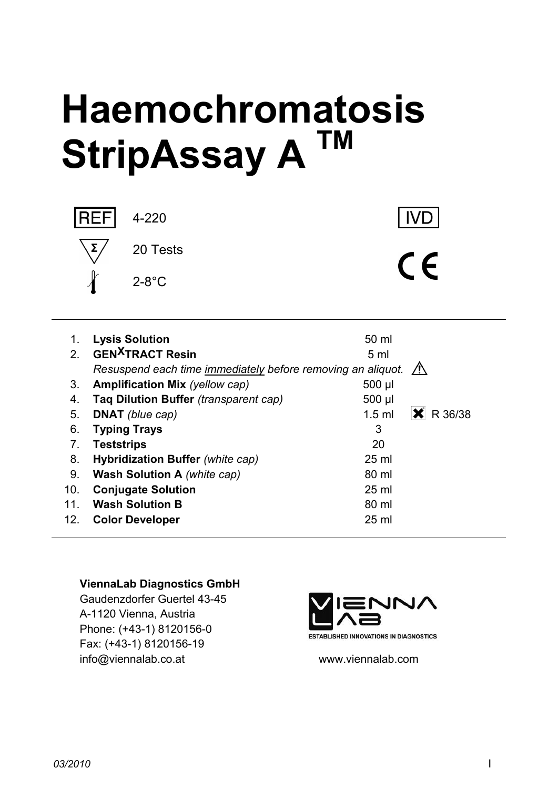# **Haemochromatosis StripAssay A TM**



4-220

**IVD** 

 $C \in$ 

| 1.              | <b>Lysis Solution</b>                                                 | 50 ml               |  |
|-----------------|-----------------------------------------------------------------------|---------------------|--|
| $\mathcal{P}$   | <b>GEN<sup>X</sup>TRACT Resin</b>                                     | 5 <sub>ml</sub>     |  |
|                 | Resuspend each time immediately before removing an aliquot. $\Lambda$ |                     |  |
| 3.              | <b>Amplification Mix (yellow cap)</b>                                 | 500 µl              |  |
| 4.              | Taq Dilution Buffer (transparent cap)                                 | $500$ µl            |  |
| 5.              | <b>DNAT</b> (blue cap)                                                | R 36/38<br>$1.5$ ml |  |
| 6.              | <b>Typing Trays</b>                                                   | 3                   |  |
| 7.              | <b>Teststrips</b>                                                     | 20                  |  |
| 8.              | Hybridization Buffer (white cap)                                      | $25 \text{ ml}$     |  |
| 9.              | <b>Wash Solution A</b> (white cap)                                    | 80 ml               |  |
| 10 <sub>1</sub> | <b>Conjugate Solution</b>                                             | $25 \text{ ml}$     |  |
| 11.             | <b>Wash Solution B</b>                                                | 80 ml               |  |
| 12.             | <b>Color Developer</b>                                                | $25$ ml             |  |

#### **ViennaLab Diagnostics GmbH**

Gaudenzdorfer Guertel 43-45 A-1120 Vienna, Austria Phone: (+43-1) 8120156-0 Fax: (+43-1) 8120156-19 info@viennalab.co.at www.viennalab.com



**ESTABLISHED INNOVATIONS IN DIAGNOSTICS**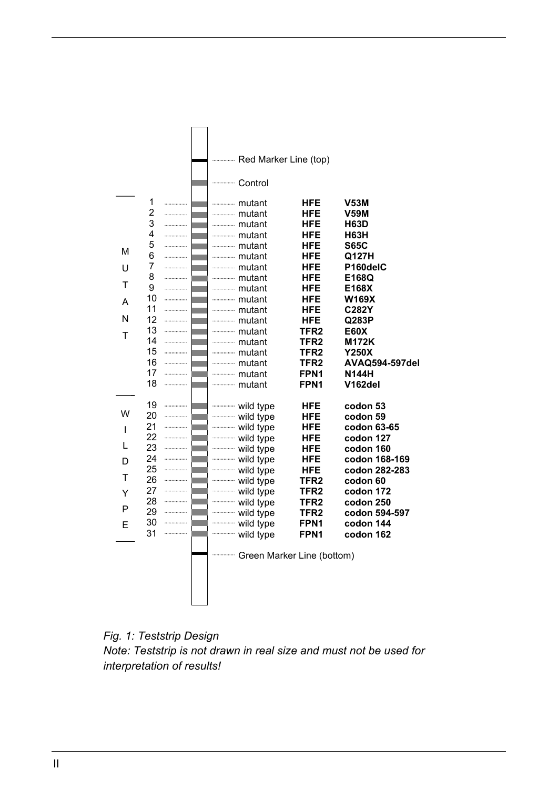

*Fig. 1: Teststrip Design Note: Teststrip is not drawn in real size and must not be used for interpretation of results!*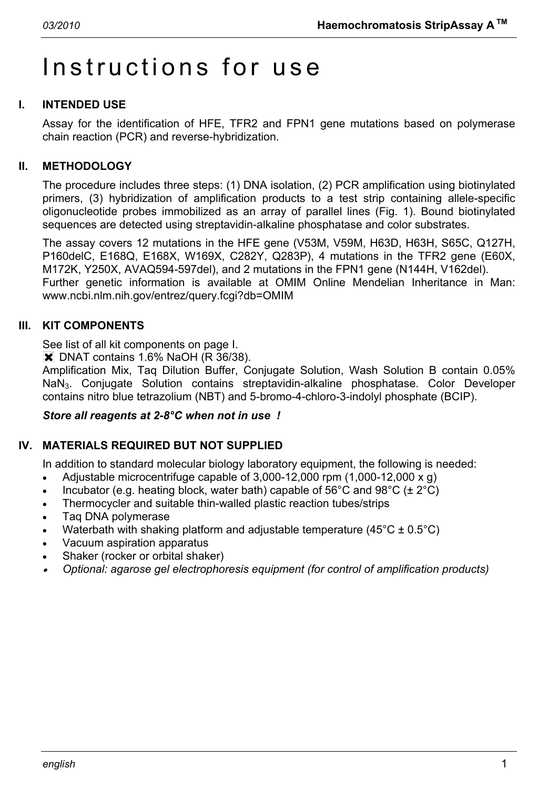# Instructions for use

# **I. INTENDED USE**

Assay for the identification of HFE, TFR2 and FPN1 gene mutations based on polymerase chain reaction (PCR) and reverse-hybridization.

# **II. METHODOLOGY**

The procedure includes three steps: (1) DNA isolation, (2) PCR amplification using biotinylated primers, (3) hybridization of amplification products to a test strip containing allele-specific oligonucleotide probes immobilized as an array of parallel lines (Fig. 1). Bound biotinylated sequences are detected using streptavidin-alkaline phosphatase and color substrates.

The assay covers 12 mutations in the HFE gene (V53M, V59M, H63D, H63H, S65C, Q127H, P160delC, E168Q, E168X, W169X, C282Y, Q283P), 4 mutations in the TFR2 gene (E60X, M172K, Y250X, AVAQ594-597del), and 2 mutations in the FPN1 gene (N144H, V162del). Further genetic information is available at OMIM Online Mendelian Inheritance in Man: www.ncbi.nlm.nih.gov/entrez/query.fcgi?db=OMIM

#### **III. KIT COMPONENTS**

See list of all kit components on page I.

 $\overline{\mathsf{X}}$  DNAT contains 1.6% NaOH (R 36/38).

Amplification Mix, Taq Dilution Buffer, Conjugate Solution, Wash Solution B contain 0.05% NaN3. Conjugate Solution contains streptavidin-alkaline phosphatase. Color Developer contains nitro blue tetrazolium (NBT) and 5-bromo-4-chloro-3-indolyl phosphate (BCIP).

#### *Store all reagents at 2-8°C when not in use !*

# **IV. MATERIALS REQUIRED BUT NOT SUPPLIED**

In addition to standard molecular biology laboratory equipment, the following is needed:

- Adjustable microcentrifuge capable of 3,000-12,000 rpm (1,000-12,000 x g)
- Incubator (e.g. heating block, water bath) capable of  $56^{\circ}$ C and  $98^{\circ}$ C ( $\pm 2^{\circ}$ C)
- Thermocycler and suitable thin-walled plastic reaction tubes/strips
- Taq DNA polymerase
- Waterbath with shaking platform and adjustable temperature (45 $^{\circ}$ C ± 0.5 $^{\circ}$ C)
- Vacuum aspiration apparatus
- Shaker (rocker or orbital shaker)
- • *Optional: agarose gel electrophoresis equipment (for control of amplification products)*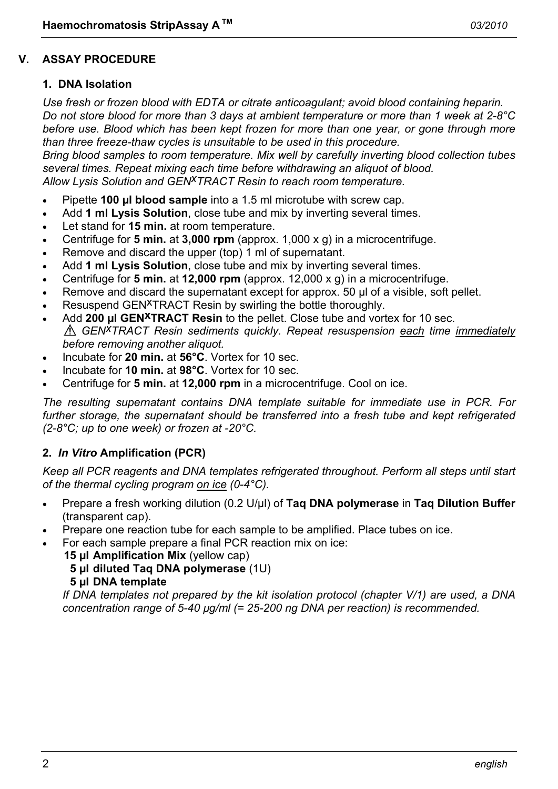#### **V. ASSAY PROCEDURE**

#### **1. DNA Isolation**

*Use fresh or frozen blood with EDTA or citrate anticoagulant; avoid blood containing heparin. Do not store blood for more than 3 days at ambient temperature or more than 1 week at 2-8°C*  before use. Blood which has been kept frozen for more than one year, or gone through more *than three freeze-thaw cycles is unsuitable to be used in this procedure.* 

*Bring blood samples to room temperature. Mix well by carefully inverting blood collection tubes several times. Repeat mixing each time before withdrawing an aliquot of blood. Allow Lysis Solution and GENxTRACT Resin to reach room temperature.*

- Pipette **100 µl blood sample** into a 1.5 ml microtube with screw cap.
- Add **1 ml Lysis Solution**, close tube and mix by inverting several times.
- Let stand for **15 min.** at room temperature.
- Centrifuge for **5 min.** at **3,000 rpm** (approx. 1,000 x g) in a microcentrifuge.
- Remove and discard the upper (top) 1 ml of supernatant.
- Add **1 ml Lysis Solution**, close tube and mix by inverting several times.
- Centrifuge for **5 min.** at **12,000 rpm** (approx. 12,000 x g) in a microcentrifuge.
- Remove and discard the supernatant except for approx. 50 µl of a visible, soft pellet.
- Resuspend GEN<sup>X</sup>TRACT Resin by swirling the bottle thoroughly.
- Add 200 µl GEN<sup>XTRACT</sup> Resin to the pellet. Close tube and vortex for 10 sec. *GENxTRACT Resin sediments quickly. Repeat resuspension each time immediately before removing another aliquot.*
- Incubate for **20 min.** at **56°C**. Vortex for 10 sec.
- Incubate for **10 min.** at **98°C**. Vortex for 10 sec.
- Centrifuge for **5 min.** at **12,000 rpm** in a microcentrifuge. Cool on ice.

*The resulting supernatant contains DNA template suitable for immediate use in PCR. For further storage, the supernatant should be transferred into a fresh tube and kept refrigerated (2-8°C; up to one week) or frozen at -20°C.* 

#### **2.** *In Vitro* **Amplification (PCR)**

*Keep all PCR reagents and DNA templates refrigerated throughout. Perform all steps until start of the thermal cycling program on ice (0-4°C).* 

- Prepare a fresh working dilution (0.2 U/µl) of **Taq DNA polymerase** in **Taq Dilution Buffer** (transparent cap).
- Prepare one reaction tube for each sample to be amplified. Place tubes on ice.
- For each sample prepare a final PCR reaction mix on ice:

**15 µl Amplification Mix** (yellow cap)

**5 µl diluted Taq DNA polymerase** (1U)

**5 µl DNA template**

 *If DNA templates not prepared by the kit isolation protocol (chapter V/1) are used, a DNA concentration range of 5-40 µg/ml (= 25-200 ng DNA per reaction) is recommended.*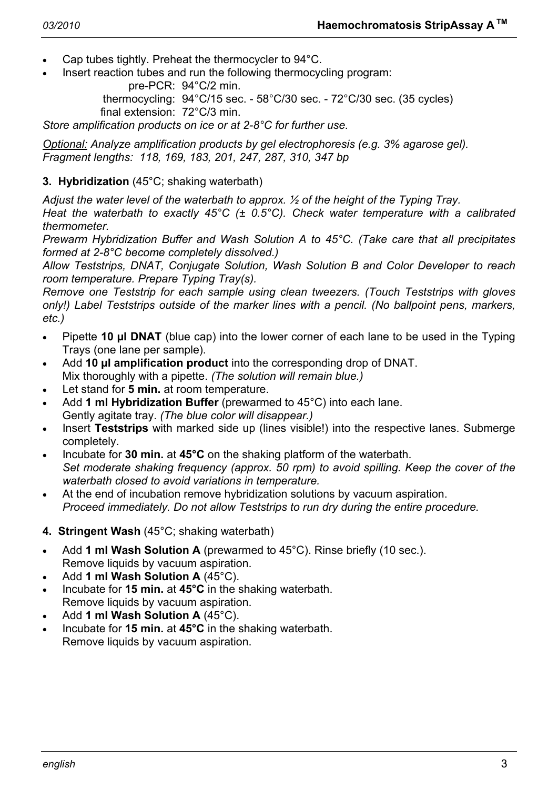- Cap tubes tightly. Preheat the thermocycler to 94°C.
- Insert reaction tubes and run the following thermocycling program:

pre-PCR: 94°C/2 min.

 thermocycling: 94°C/15 sec. - 58°C/30 sec. - 72°C/30 sec. (35 cycles) final extension: 72°C/3 min.

*Store amplification products on ice or at 2-8°C for further use.* 

*Optional: Analyze amplification products by gel electrophoresis (e.g. 3% agarose gel). Fragment lengths: 118, 169, 183, 201, 247, 287, 310, 347 bp* 

# **3. Hybridization** (45°C; shaking waterbath)

*Adjust the water level of the waterbath to approx. ½ of the height of the Typing Tray.* 

*Heat the waterbath to exactly 45°C (± 0.5°C). Check water temperature with a calibrated thermometer.* 

*Prewarm Hybridization Buffer and Wash Solution A to 45°C. (Take care that all precipitates formed at 2-8°C become completely dissolved.)* 

*Allow Teststrips, DNAT, Conjugate Solution, Wash Solution B and Color Developer to reach room temperature. Prepare Typing Tray(s).* 

*Remove one Teststrip for each sample using clean tweezers. (Touch Teststrips with gloves only!) Label Teststrips outside of the marker lines with a pencil. (No ballpoint pens, markers, etc.)* 

- Pipette **10 µl DNAT** (blue cap) into the lower corner of each lane to be used in the Typing Trays (one lane per sample).
- Add **10 µl amplification product** into the corresponding drop of DNAT. Mix thoroughly with a pipette. *(The solution will remain blue.)*
- Let stand for **5 min.** at room temperature.
- Add **1 ml Hybridization Buffer** (prewarmed to 45°C) into each lane. Gently agitate tray. *(The blue color will disappear.)*
- Insert **Teststrips** with marked side up (lines visible!) into the respective lanes. Submerge completely.
- Incubate for **30 min.** at **45°C** on the shaking platform of the waterbath.  *Set moderate shaking frequency (approx. 50 rpm) to avoid spilling. Keep the cover of the waterbath closed to avoid variations in temperature.*
- At the end of incubation remove hybridization solutions by vacuum aspiration.  *Proceed immediately. Do not allow Teststrips to run dry during the entire procedure.*
- **4. Stringent Wash** (45°C; shaking waterbath)
- Add **1 ml Wash Solution A** (prewarmed to 45°C). Rinse briefly (10 sec.). Remove liquids by vacuum aspiration.
- Add **1 ml Wash Solution A** (45°C).
- Incubate for **15 min.** at **45°C** in the shaking waterbath. Remove liquids by vacuum aspiration.
- Add **1 ml Wash Solution A** (45°C).
- Incubate for **15 min.** at **45°C** in the shaking waterbath. Remove liquids by vacuum aspiration.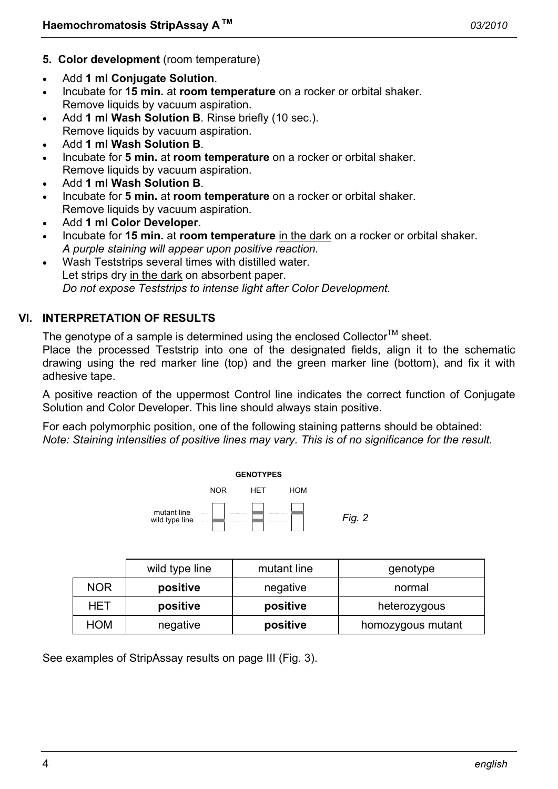- **5. Color development** (room temperature)
- Add **1 ml Conjugate Solution**.
- Incubate for **15 min.** at **room temperature** on a rocker or orbital shaker. Remove liquids by vacuum aspiration.
- Add **1 ml Wash Solution B**. Rinse briefly (10 sec.). Remove liquids by vacuum aspiration.
- Add **1 ml Wash Solution B**.
- Incubate for **5 min.** at **room temperature** on a rocker or orbital shaker. Remove liquids by vacuum aspiration.
- Add **1 ml Wash Solution B**.
- Incubate for **5 min.** at **room temperature** on a rocker or orbital shaker. Remove liquids by vacuum aspiration.
- Add **1 ml Color Developer**.
- Incubate for **15 min.** at **room temperature** in the dark on a rocker or orbital shaker.  *A purple staining will appear upon positive reaction.*
- Wash Teststrips several times with distilled water. Let strips dry in the dark on absorbent paper.  *Do not expose Teststrips to intense light after Color Development.*

# **VI. INTERPRETATION OF RESULTS**

The genotype of a sample is determined using the enclosed Collector<sup>TM</sup> sheet.

Place the processed Teststrip into one of the designated fields, align it to the schematic drawing using the red marker line (top) and the green marker line (bottom), and fix it with adhesive tape.

A positive reaction of the uppermost Control line indicates the correct function of Conjugate Solution and Color Developer. This line should always stain positive.

For each polymorphic position, one of the following staining patterns should be obtained: *Note: Staining intensities of positive lines may vary. This is of no significance for the result.* 



|            | wild type line | mutant line | genotype          |
|------------|----------------|-------------|-------------------|
| <b>NOR</b> | positive       | negative    | normal            |
| HET        | positive       | positive    | heterozygous      |
| <b>HOM</b> | negative       | positive    | homozygous mutant |

See examples of StripAssay results on page III (Fig. 3).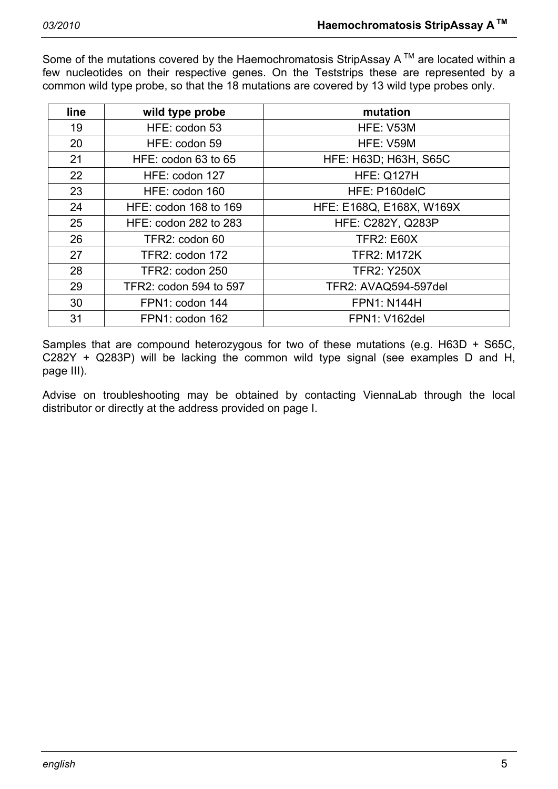Some of the mutations covered by the Haemochromatosis StripAssay  $A^{TM}$  are located within a few nucleotides on their respective genes. On the Teststrips these are represented by a common wild type probe, so that the 18 mutations are covered by 13 wild type probes only.

| line | wild type probe        | mutation                     |
|------|------------------------|------------------------------|
| 19   | HFE: codon 53          | HFE: V53M                    |
| 20   | HFE: codon 59          | HFE: V59M                    |
| 21   | HFE: codon 63 to 65    | <b>HFE: H63D; H63H, S65C</b> |
| 22   | HFE: codon 127         | <b>HFE: Q127H</b>            |
| 23   | HFE: codon 160         | HFE: P160delC                |
| 24   | HFE: codon 168 to 169  | HFE: E168Q, E168X, W169X     |
| 25   | HFE: codon 282 to 283  | <b>HFE: C282Y, Q283P</b>     |
| 26   | TFR2: codon 60         | <b>TFR2: E60X</b>            |
| 27   | TFR2: codon 172        | <b>TFR2: M172K</b>           |
| 28   | TFR2: codon 250        | <b>TFR2: Y250X</b>           |
| 29   | TFR2: codon 594 to 597 | TFR2: AVAQ594-597del         |
| 30   | FPN1: codon 144        | <b>FPN1: N144H</b>           |
| 31   | FPN1: codon 162        | <b>FPN1: V162del</b>         |

Samples that are compound heterozygous for two of these mutations (e.g. H63D + S65C, C282Y + Q283P) will be lacking the common wild type signal (see examples D and H, page III).

Advise on troubleshooting may be obtained by contacting ViennaLab through the local distributor or directly at the address provided on page I.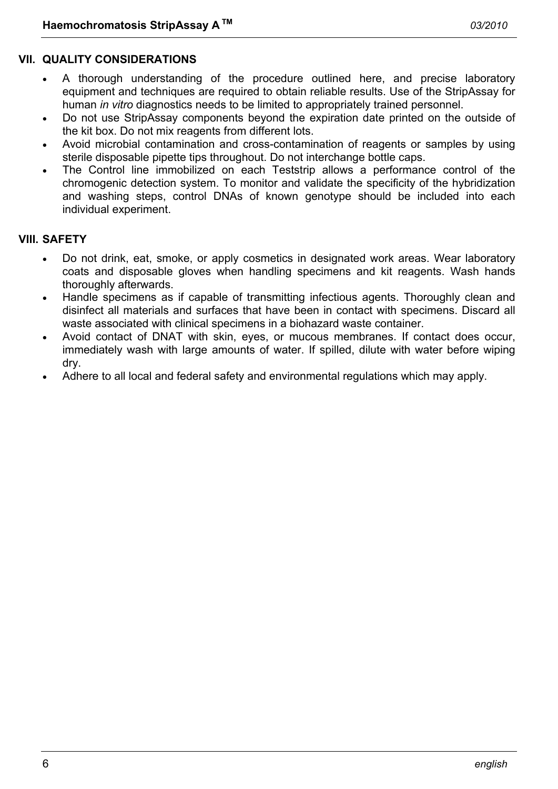#### **VII. QUALITY CONSIDERATIONS**

- A thorough understanding of the procedure outlined here, and precise laboratory equipment and techniques are required to obtain reliable results. Use of the StripAssay for human *in vitro* diagnostics needs to be limited to appropriately trained personnel.
- Do not use StripAssay components beyond the expiration date printed on the outside of the kit box. Do not mix reagents from different lots.
- Avoid microbial contamination and cross-contamination of reagents or samples by using sterile disposable pipette tips throughout. Do not interchange bottle caps.
- The Control line immobilized on each Teststrip allows a performance control of the chromogenic detection system. To monitor and validate the specificity of the hybridization and washing steps, control DNAs of known genotype should be included into each individual experiment.

#### **VIII. SAFETY**

- Do not drink, eat, smoke, or apply cosmetics in designated work areas. Wear laboratory coats and disposable gloves when handling specimens and kit reagents. Wash hands thoroughly afterwards.
- Handle specimens as if capable of transmitting infectious agents. Thoroughly clean and disinfect all materials and surfaces that have been in contact with specimens. Discard all waste associated with clinical specimens in a biohazard waste container.
- Avoid contact of DNAT with skin, eyes, or mucous membranes. If contact does occur, immediately wash with large amounts of water. If spilled, dilute with water before wiping dry.
- Adhere to all local and federal safety and environmental regulations which may apply.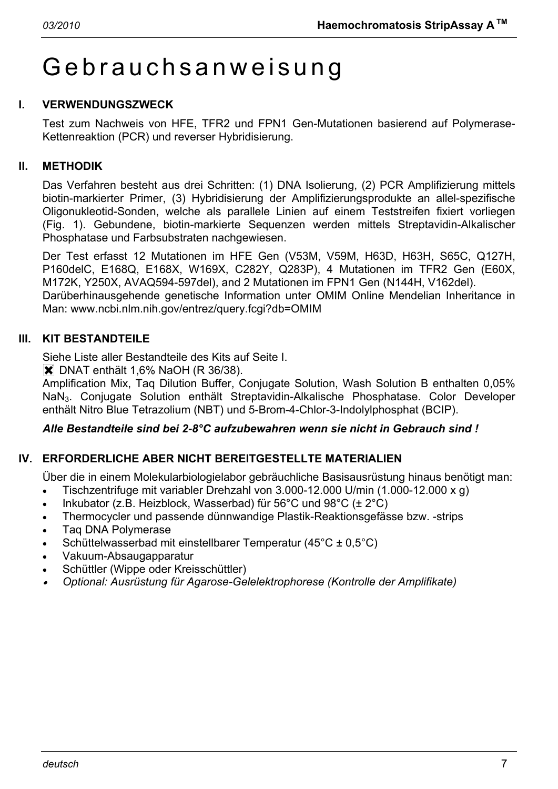# Gebrauchsanweisung

# **I. VERWENDUNGSZWECK**

Test zum Nachweis von HFE, TFR2 und FPN1 Gen-Mutationen basierend auf Polymerase-Kettenreaktion (PCR) und reverser Hybridisierung.

# **II. METHODIK**

Das Verfahren besteht aus drei Schritten: (1) DNA Isolierung, (2) PCR Amplifizierung mittels biotin-markierter Primer, (3) Hybridisierung der Amplifizierungsprodukte an allel-spezifische Oligonukleotid-Sonden, welche als parallele Linien auf einem Teststreifen fixiert vorliegen (Fig. 1). Gebundene, biotin-markierte Sequenzen werden mittels Streptavidin-Alkalischer Phosphatase und Farbsubstraten nachgewiesen.

Der Test erfasst 12 Mutationen im HFE Gen (V53M, V59M, H63D, H63H, S65C, Q127H, P160delC, E168Q, E168X, W169X, C282Y, Q283P), 4 Mutationen im TFR2 Gen (E60X, M172K, Y250X, AVAQ594-597del), and 2 Mutationen im FPN1 Gen (N144H, V162del). Darüberhinausgehende genetische Information unter OMIM Online Mendelian Inheritance in Man: www.ncbi.nlm.nih.gov/entrez/query.fcgi?db=OMIM

# **III. KIT BESTANDTEILE**

Siehe Liste aller Bestandteile des Kits auf Seite I.

 $\overline{\mathsf{X}}$  DNAT enthält 1,6% NaOH (R 36/38).

Amplification Mix, Taq Dilution Buffer, Conjugate Solution, Wash Solution B enthalten 0,05% NaN3. Conjugate Solution enthält Streptavidin-Alkalische Phosphatase. Color Developer enthält Nitro Blue Tetrazolium (NBT) und 5-Brom-4-Chlor-3-Indolylphosphat (BCIP).

# *Alle Bestandteile sind bei 2-8°C aufzubewahren wenn sie nicht in Gebrauch sind !*

# **IV. ERFORDERLICHE ABER NICHT BEREITGESTELLTE MATERIALIEN**

Über die in einem Molekularbiologielabor gebräuchliche Basisausrüstung hinaus benötigt man:

- Tischzentrifuge mit variabler Drehzahl von 3.000-12.000 U/min (1.000-12.000 x g)
- Inkubator (z.B. Heizblock, Wasserbad) für  $56^{\circ}$ C und  $98^{\circ}$ C ( $\pm 2^{\circ}$ C)
- Thermocycler und passende dünnwandige Plastik-Reaktionsgefässe bzw. -strips
- Taq DNA Polymerase
- Schüttelwasserbad mit einstellbarer Temperatur (45°C ± 0,5°C)
- Vakuum-Absaugapparatur
- Schüttler (Wippe oder Kreisschüttler)
- • *Optional: Ausrüstung für Agarose-Gelelektrophorese (Kontrolle der Amplifikate)*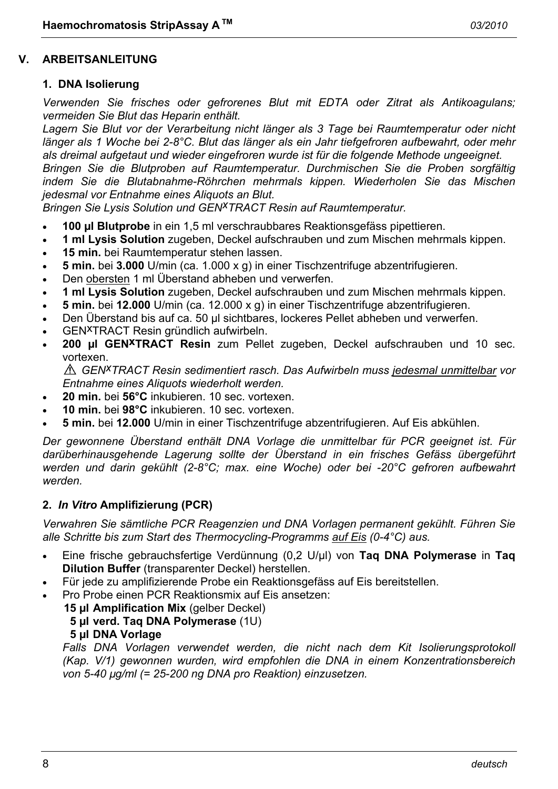#### **V. ARBEITSANLEITUNG**

#### **1. DNA Isolierung**

*Verwenden Sie frisches oder gefrorenes Blut mit EDTA oder Zitrat als Antikoagulans; vermeiden Sie Blut das Heparin enthält.* 

*Lagern Sie Blut vor der Verarbeitung nicht länger als 3 Tage bei Raumtemperatur oder nicht länger als 1 Woche bei 2-8°C. Blut das länger als ein Jahr tiefgefroren aufbewahrt, oder mehr als dreimal aufgetaut und wieder eingefroren wurde ist für die folgende Methode ungeeignet.* 

*Bringen Sie die Blutproben auf Raumtemperatur. Durchmischen Sie die Proben sorgfältig indem Sie die Blutabnahme-Röhrchen mehrmals kippen. Wiederholen Sie das Mischen jedesmal vor Entnahme eines Aliquots an Blut.* 

*Bringen Sie Lysis Solution und GENxTRACT Resin auf Raumtemperatur.* 

- **100 µl Blutprobe** in ein 1,5 ml verschraubbares Reaktionsgefäss pipettieren.
- **1 ml Lysis Solution** zugeben, Deckel aufschrauben und zum Mischen mehrmals kippen.
- **15 min.** bei Raumtemperatur stehen lassen.
- **5 min.** bei **3.000** U/min (ca. 1.000 x g) in einer Tischzentrifuge abzentrifugieren.
- Den obersten 1 ml Überstand abheben und verwerfen.
- **1 ml Lysis Solution** zugeben, Deckel aufschrauben und zum Mischen mehrmals kippen.
- **5 min.** bei **12.000** U/min (ca. 12.000 x g) in einer Tischzentrifuge abzentrifugieren.
- Den Überstand bis auf ca. 50 µl sichtbares, lockeres Pellet abheben und verwerfen.
- GENxTRACT Resin gründlich aufwirbeln.
- **200 µl GENxTRACT Resin** zum Pellet zugeben, Deckel aufschrauben und 10 sec. vortexen.

*GENxTRACT Resin sedimentiert rasch. Das Aufwirbeln muss jedesmal unmittelbar vor Entnahme eines Aliquots wiederholt werden.* 

- **20 min.** bei **56°C** inkubieren. 10 sec. vortexen.
- **10 min.** bei **98°C** inkubieren. 10 sec. vortexen.
- **5 min.** bei **12.000** U/min in einer Tischzentrifuge abzentrifugieren. Auf Eis abkühlen.

*Der gewonnene Überstand enthält DNA Vorlage die unmittelbar für PCR geeignet ist. Für darüberhinausgehende Lagerung sollte der Überstand in ein frisches Gefäss übergeführt werden und darin gekühlt (2-8°C; max. eine Woche) oder bei -20°C gefroren aufbewahrt werden.* 

#### **2.** *In Vitro* **Amplifizierung (PCR)**

*Verwahren Sie sämtliche PCR Reagenzien und DNA Vorlagen permanent gekühlt. Führen Sie alle Schritte bis zum Start des Thermocycling-Programms auf Eis (0-4°C) aus.* 

- Eine frische gebrauchsfertige Verdünnung (0,2 U/µl) von **Taq DNA Polymerase** in **Taq Dilution Buffer** (transparenter Deckel) herstellen.
- Für jede zu amplifizierende Probe ein Reaktionsgefäss auf Eis bereitstellen.
- Pro Probe einen PCR Reaktionsmix auf Eis ansetzen:
	- **15 µl Amplification Mix** (gelber Deckel)

#### **5 µl verd. Taq DNA Polymerase** (1U)

**5 µl DNA Vorlage**

 *Falls DNA Vorlagen verwendet werden, die nicht nach dem Kit Isolierungsprotokoll (Kap. V/1) gewonnen wurden, wird empfohlen die DNA in einem Konzentrationsbereich von 5-40 µg/ml (= 25-200 ng DNA pro Reaktion) einzusetzen.*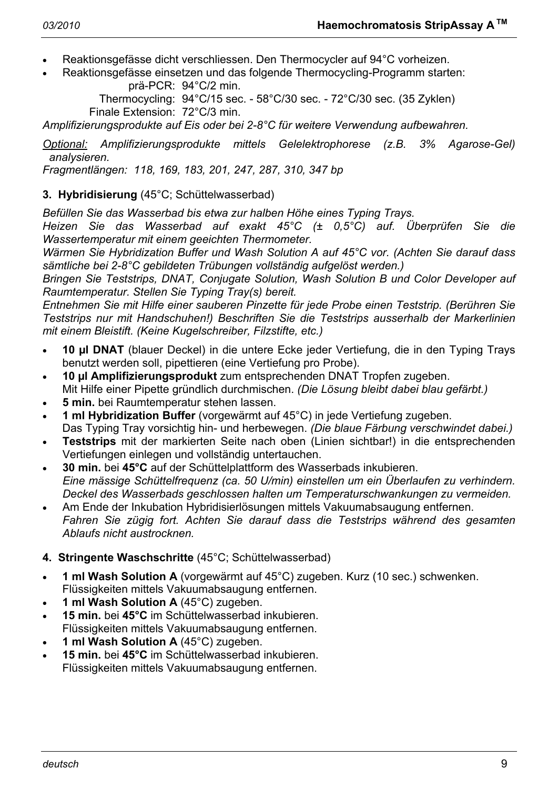- Reaktionsgefässe dicht verschliessen. Den Thermocycler auf 94°C vorheizen.
- Reaktionsgefässe einsetzen und das folgende Thermocycling-Programm starten: prä-PCR: 94°C/2 min.

 Thermocycling: 94°C/15 sec. - 58°C/30 sec. - 72°C/30 sec. (35 Zyklen) Finale Extension: 72°C/3 min.

*Amplifizierungsprodukte auf Eis oder bei 2-8°C für weitere Verwendung aufbewahren.* 

*Optional: Amplifizierungsprodukte mittels Gelelektrophorese (z.B. 3% Agarose-Gel) analysieren.* 

*Fragmentlängen: 118, 169, 183, 201, 247, 287, 310, 347 bp* 

# **3. Hybridisierung** (45°C; Schüttelwasserbad)

*Befüllen Sie das Wasserbad bis etwa zur halben Höhe eines Typing Trays.* 

*Heizen Sie das Wasserbad auf exakt 45°C (± 0,5°C) auf. Überprüfen Sie die Wassertemperatur mit einem geeichten Thermometer.* 

*Wärmen Sie Hybridization Buffer und Wash Solution A auf 45°C vor. (Achten Sie darauf dass sämtliche bei 2-8°C gebildeten Trübungen vollständig aufgelöst werden.)* 

*Bringen Sie Teststrips, DNAT, Conjugate Solution, Wash Solution B und Color Developer auf Raumtemperatur. Stellen Sie Typing Tray(s) bereit.* 

*Entnehmen Sie mit Hilfe einer sauberen Pinzette für jede Probe einen Teststrip. (Berühren Sie Teststrips nur mit Handschuhen!) Beschriften Sie die Teststrips ausserhalb der Markerlinien mit einem Bleistift. (Keine Kugelschreiber, Filzstifte, etc.)* 

- **10 µl DNAT** (blauer Deckel) in die untere Ecke jeder Vertiefung, die in den Typing Trays benutzt werden soll, pipettieren (eine Vertiefung pro Probe).
- **10 µl Amplifizierungsprodukt** zum entsprechenden DNAT Tropfen zugeben. Mit Hilfe einer Pipette gründlich durchmischen. *(Die Lösung bleibt dabei blau gefärbt.)*
- **5 min.** bei Raumtemperatur stehen lassen.
- **1 ml Hybridization Buffer** (vorgewärmt auf 45°C) in jede Vertiefung zugeben. Das Typing Tray vorsichtig hin- und herbewegen. *(Die blaue Färbung verschwindet dabei.)*
- **Teststrips** mit der markierten Seite nach oben (Linien sichtbar!) in die entsprechenden Vertiefungen einlegen und vollständig untertauchen.
- **30 min.** bei **45°C** auf der Schüttelplattform des Wasserbads inkubieren.  *Eine mässige Schüttelfrequenz (ca. 50 U/min) einstellen um ein Überlaufen zu verhindern. Deckel des Wasserbads geschlossen halten um Temperaturschwankungen zu vermeiden.*
- Am Ende der Inkubation Hybridisierlösungen mittels Vakuumabsaugung entfernen.  *Fahren Sie zügig fort. Achten Sie darauf dass die Teststrips während des gesamten Ablaufs nicht austrocknen.*

# **4. Stringente Waschschritte** (45°C; Schüttelwasserbad)

- **1 ml Wash Solution A** (vorgewärmt auf 45°C) zugeben. Kurz (10 sec.) schwenken. Flüssigkeiten mittels Vakuumabsaugung entfernen.
- **1 ml Wash Solution A** (45°C) zugeben.
- **15 min.** bei **45°C** im Schüttelwasserbad inkubieren. Flüssigkeiten mittels Vakuumabsaugung entfernen.
- **1 ml Wash Solution A** (45°C) zugeben.
- **15 min.** bei **45°C** im Schüttelwasserbad inkubieren. Flüssigkeiten mittels Vakuumabsaugung entfernen.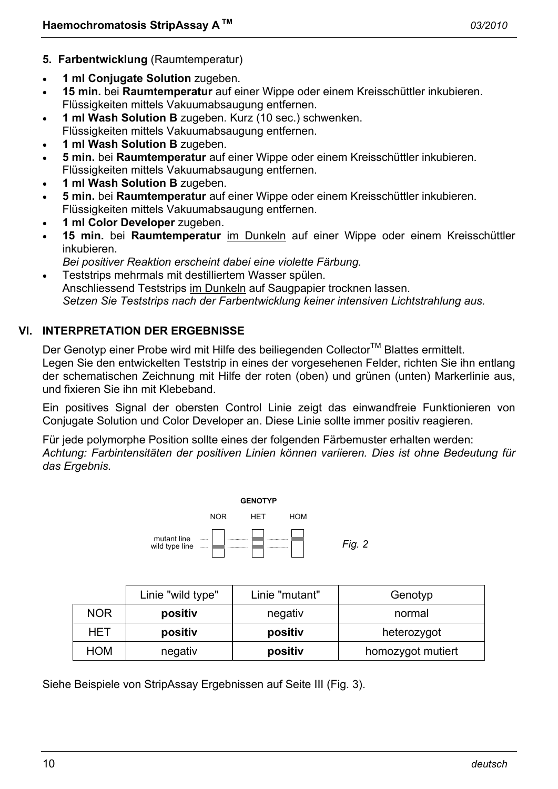- **5. Farbentwicklung** (Raumtemperatur)
- **1 ml Conjugate Solution** zugeben.
- **15 min.** bei **Raumtemperatur** auf einer Wippe oder einem Kreisschüttler inkubieren. Flüssigkeiten mittels Vakuumabsaugung entfernen.
- **1 ml Wash Solution B** zugeben. Kurz (10 sec.) schwenken. Flüssigkeiten mittels Vakuumabsaugung entfernen.
- **1 ml Wash Solution B** zugeben.
- **5 min.** bei **Raumtemperatur** auf einer Wippe oder einem Kreisschüttler inkubieren. Flüssigkeiten mittels Vakuumabsaugung entfernen.
- **1 ml Wash Solution B** zugeben.
- **5 min.** bei **Raumtemperatur** auf einer Wippe oder einem Kreisschüttler inkubieren. Flüssigkeiten mittels Vakuumabsaugung entfernen.
- **1 ml Color Developer** zugeben.
- **15 min.** bei **Raumtemperatur** im Dunkeln auf einer Wippe oder einem Kreisschüttler inkubieren.
	- *Bei positiver Reaktion erscheint dabei eine violette Färbung.*
- Teststrips mehrmals mit destilliertem Wasser spülen. Anschliessend Teststrips im Dunkeln auf Saugpapier trocknen lassen.  *Setzen Sie Teststrips nach der Farbentwicklung keiner intensiven Lichtstrahlung aus.*

# **VI. INTERPRETATION DER ERGEBNISSE**

Der Genotyp einer Probe wird mit Hilfe des beiliegenden Collector™ Blattes ermittelt. Legen Sie den entwickelten Teststrip in eines der vorgesehenen Felder, richten Sie ihn entlang der schematischen Zeichnung mit Hilfe der roten (oben) und grünen (unten) Markerlinie aus, und fixieren Sie ihn mit Klebeband.

Ein positives Signal der obersten Control Linie zeigt das einwandfreie Funktionieren von Conjugate Solution und Color Developer an. Diese Linie sollte immer positiv reagieren.

Für jede polymorphe Position sollte eines der folgenden Färbemuster erhalten werden: *Achtung: Farbintensitäten der positiven Linien können variieren. Dies ist ohne Bedeutung für das Ergebnis.* 



|            | Linie "wild type" | Linie "mutant" | Genotyp           |
|------------|-------------------|----------------|-------------------|
| <b>NOR</b> | positiv           | negativ        | normal            |
| HET        | positiv           | positiv        | heterozygot       |
| <b>HOM</b> | negativ           | positiv        | homozygot mutiert |

Siehe Beispiele von StripAssay Ergebnissen auf Seite III (Fig. 3).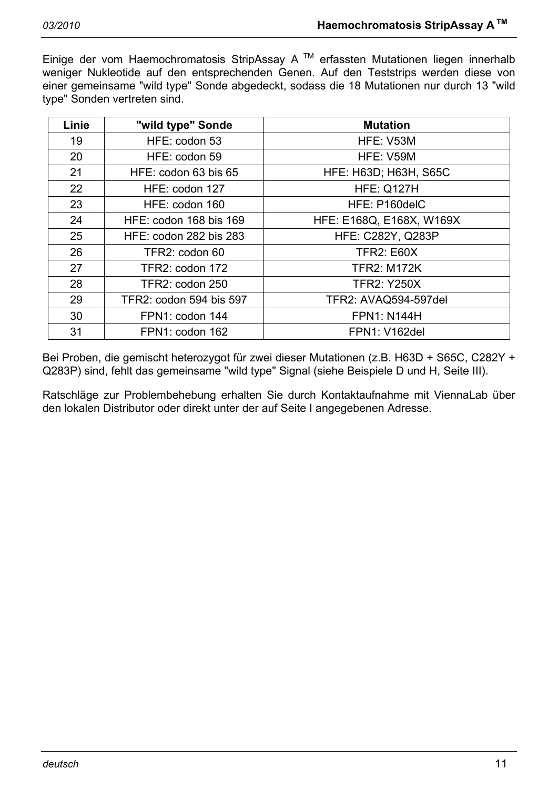Einige der vom Haemochromatosis StripAssay A<sup>™</sup> erfassten Mutationen liegen innerhalb weniger Nukleotide auf den entsprechenden Genen. Auf den Teststrips werden diese von einer gemeinsame "wild type" Sonde abgedeckt, sodass die 18 Mutationen nur durch 13 "wild type" Sonden vertreten sind.

| Linie | "wild type" Sonde             | <b>Mutation</b>              |
|-------|-------------------------------|------------------------------|
| 19    | HFE: codon 53                 | HFE: V53M                    |
| 20    | HFE: codon 59                 | HFE: V59M                    |
| 21    | HFE: codon 63 bis 65          | <b>HFE: H63D; H63H, S65C</b> |
| 22    | HFE: codon 127                | <b>HFE: Q127H</b>            |
| 23    | HFE: codon 160                | HFE: P160delC                |
| 24    | HFE: codon 168 bis 169        | HFE: E168Q, E168X, W169X     |
| 25    | <b>HFE: codon 282 bis 283</b> | <b>HFE: C282Y, Q283P</b>     |
| 26    | TFR2: codon 60                | <b>TFR2: E60X</b>            |
| 27    | TFR2: codon 172               | <b>TFR2: M172K</b>           |
| 28    | TFR2: codon 250               | <b>TFR2: Y250X</b>           |
| 29    | TFR2: codon 594 bis 597       | TFR2: AVAQ594-597del         |
| 30    | FPN1: codon 144               | <b>FPN1: N144H</b>           |
| 31    | FPN1: codon 162               | <b>FPN1: V162del</b>         |

Bei Proben, die gemischt heterozygot für zwei dieser Mutationen (z.B. H63D + S65C, C282Y + Q283P) sind, fehlt das gemeinsame "wild type" Signal (siehe Beispiele D und H, Seite III).

Ratschläge zur Problembehebung erhalten Sie durch Kontaktaufnahme mit ViennaLab über den lokalen Distributor oder direkt unter der auf Seite I angegebenen Adresse.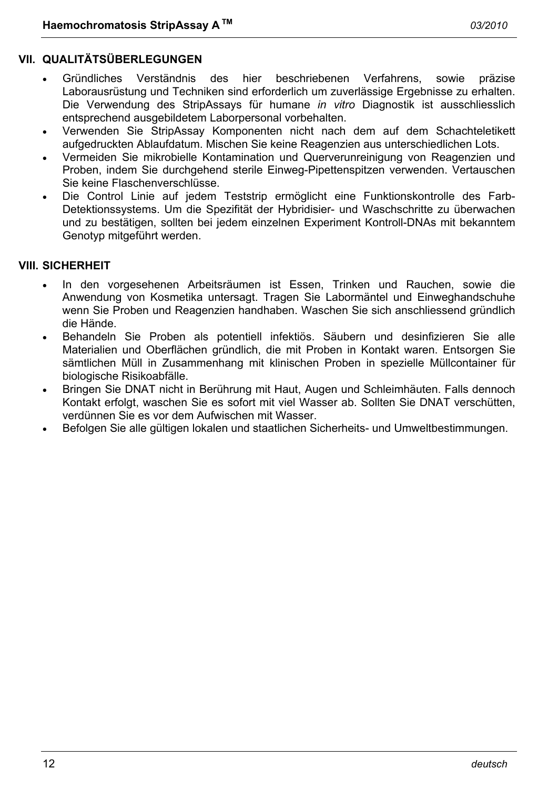# **VII. QUALITÄTSÜBERLEGUNGEN**

- Gründliches Verständnis des hier beschriebenen Verfahrens, sowie präzise Laborausrüstung und Techniken sind erforderlich um zuverlässige Ergebnisse zu erhalten. Die Verwendung des StripAssays für humane *in vitro* Diagnostik ist ausschliesslich entsprechend ausgebildetem Laborpersonal vorbehalten.
- Verwenden Sie StripAssay Komponenten nicht nach dem auf dem Schachteletikett aufgedruckten Ablaufdatum. Mischen Sie keine Reagenzien aus unterschiedlichen Lots.
- Vermeiden Sie mikrobielle Kontamination und Querverunreinigung von Reagenzien und Proben, indem Sie durchgehend sterile Einweg-Pipettenspitzen verwenden. Vertauschen Sie keine Flaschenverschlüsse.
- Die Control Linie auf jedem Teststrip ermöglicht eine Funktionskontrolle des Farb-Detektionssystems. Um die Spezifität der Hybridisier- und Waschschritte zu überwachen und zu bestätigen, sollten bei jedem einzelnen Experiment Kontroll-DNAs mit bekanntem Genotyp mitgeführt werden.

# **VIII. SICHERHEIT**

- In den vorgesehenen Arbeitsräumen ist Essen, Trinken und Rauchen, sowie die Anwendung von Kosmetika untersagt. Tragen Sie Labormäntel und Einweghandschuhe wenn Sie Proben und Reagenzien handhaben. Waschen Sie sich anschliessend gründlich die Hände.
- Behandeln Sie Proben als potentiell infektiös. Säubern und desinfizieren Sie alle Materialien und Oberflächen gründlich, die mit Proben in Kontakt waren. Entsorgen Sie sämtlichen Müll in Zusammenhang mit klinischen Proben in spezielle Müllcontainer für biologische Risikoabfälle.
- Bringen Sie DNAT nicht in Berührung mit Haut, Augen und Schleimhäuten. Falls dennoch Kontakt erfolgt, waschen Sie es sofort mit viel Wasser ab. Sollten Sie DNAT verschütten, verdünnen Sie es vor dem Aufwischen mit Wasser.
- Befolgen Sie alle gültigen lokalen und staatlichen Sicherheits- und Umweltbestimmungen.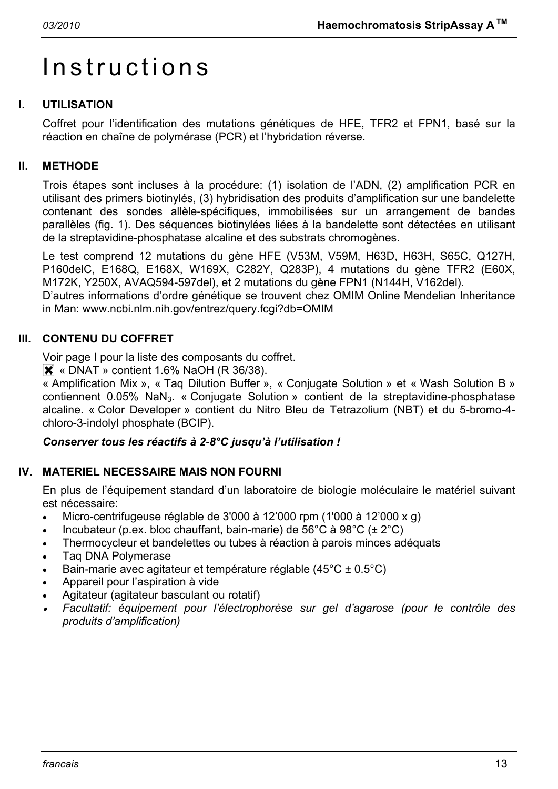# Instructions

# **I. UTILISATION**

Coffret pour l'identification des mutations génétiques de HFE, TFR2 et FPN1, basé sur la réaction en chaîne de polymérase (PCR) et l'hybridation réverse.

# **II. METHODE**

Trois étapes sont incluses à la procédure: (1) isolation de l'ADN, (2) amplification PCR en utilisant des primers biotinylés, (3) hybridisation des produits d'amplification sur une bandelette contenant des sondes allèle-spécifiques, immobilisées sur un arrangement de bandes parallèles (fig. 1). Des séquences biotinylées liées à la bandelette sont détectées en utilisant de la streptavidine-phosphatase alcaline et des substrats chromogènes.

Le test comprend 12 mutations du gène HFE (V53M, V59M, H63D, H63H, S65C, Q127H, P160delC, E168Q, E168X, W169X, C282Y, Q283P), 4 mutations du gène TFR2 (E60X, M172K, Y250X, AVAQ594-597del), et 2 mutations du gène FPN1 (N144H, V162del).

D'autres informations d'ordre génétique se trouvent chez OMIM Online Mendelian Inheritance in Man: www.ncbi.nlm.nih.gov/entrez/query.fcgi?db=OMIM

# **III. CONTENU DU COFFRET**

Voir page I pour la liste des composants du coffret.

 $\overline{\mathsf{X}}$  « DNAT » contient 1.6% NaOH (R 36/38).

« Amplification Mix », « Taq Dilution Buffer », « Conjugate Solution » et « Wash Solution B » contiennent 0.05% NaN<sub>3</sub>. « Conjugate Solution » contient de la streptavidine-phosphatase alcaline. « Color Developer » contient du Nitro Bleu de Tetrazolium (NBT) et du 5-bromo-4 chloro-3-indolyl phosphate (BCIP).

# *Conserver tous les réactifs à 2-8°C jusqu'à l'utilisation !*

# **IV. MATERIEL NECESSAIRE MAIS NON FOURNI**

En plus de l'équipement standard d'un laboratoire de biologie moléculaire le matériel suivant est nécessaire:

- Micro-centrifugeuse réglable de 3'000 à 12'000 rpm (1'000 à 12'000 x g)
- Incubateur (p.ex. bloc chauffant, bain-marie) de  $56^{\circ}$ C à  $98^{\circ}$ C ( $\pm 2^{\circ}$ C)
- Thermocycleur et bandelettes ou tubes à réaction à parois minces adéquats
- Taq DNA Polymerase
- Bain-marie avec agitateur et température réglable (45°C ± 0.5°C)
- Appareil pour l'aspiration à vide
- Agitateur (agitateur basculant ou rotatif)
- • *Facultatif: équipement pour l'électrophorèse sur gel d'agarose (pour le contrôle des produits d'amplification)*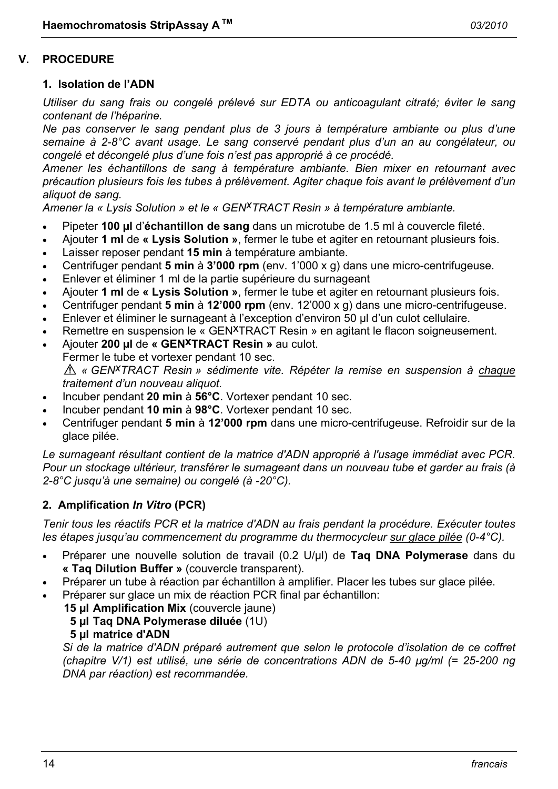#### **V. PROCEDURE**

#### **1. Isolation de l'ADN**

*Utiliser du sang frais ou congelé prélevé sur EDTA ou anticoagulant citraté; éviter le sang contenant de l'héparine.* 

*Ne pas conserver le sang pendant plus de 3 jours à température ambiante ou plus d'une semaine à 2-8°C avant usage. Le sang conservé pendant plus d'un an au congélateur, ou congelé et décongelé plus d'une fois n'est pas approprié à ce procédé.* 

*Amener les échantillons de sang à température ambiante. Bien mixer en retournant avec précaution plusieurs fois les tubes à prélèvement. Agiter chaque fois avant le prélèvement d'un aliquot de sang.* 

*Amener la « Lysis Solution » et le « GENxTRACT Resin » à température ambiante.*

- Pipeter **100 µl** d'**échantillon de sang** dans un microtube de 1.5 ml à couvercle fileté.
- Ajouter **1 ml** de **« Lysis Solution »**, fermer le tube et agiter en retournant plusieurs fois.
- Laisser reposer pendant **15 min** à température ambiante.
- Centrifuger pendant **5 min** à **3'000 rpm** (env. 1'000 x g) dans une micro-centrifugeuse.
- Enlever et éliminer 1 ml de la partie supérieure du surnageant
- Ajouter **1 ml** de **« Lysis Solution »**, fermer le tube et agiter en retournant plusieurs fois.
- Centrifuger pendant **5 min** à **12'000 rpm** (env. 12'000 x g) dans une micro-centrifugeuse.
- Enlever et éliminer le surnageant à l'exception d'environ 50 µl d'un culot cellulaire.
- Remettre en suspension le « GEN<sup>X</sup>TRACT Resin » en agitant le flacon soigneusement.
- Ajouter **200 µl** de **« GENxTRACT Resin »** au culot.
- Fermer le tube et vortexer pendant 10 sec.

*« GENxTRACT Resin » sédimente vite. Répéter la remise en suspension à chaque traitement d'un nouveau aliquot.* 

- Incuber pendant **20 min** à **56°C**. Vortexer pendant 10 sec.
- Incuber pendant **10 min** à **98°C**. Vortexer pendant 10 sec.
- Centrifuger pendant **5 min** à **12'000 rpm** dans une micro-centrifugeuse. Refroidir sur de la glace pilée.

*Le surnageant résultant contient de la matrice d'ADN approprié à l'usage immédiat avec PCR. Pour un stockage ultérieur, transférer le surnageant dans un nouveau tube et garder au frais (à 2-8°C jusqu'à une semaine) ou congelé (à -20°C).* 

# **2. Amplification** *In Vitro* **(PCR)**

*Tenir tous les réactifs PCR et la matrice d'ADN au frais pendant la procédure. Exécuter toutes les étapes jusqu'au commencement du programme du thermocycleur sur glace pilée (0-4°C).* 

- Préparer une nouvelle solution de travail (0.2 U/µl) de **Taq DNA Polymerase** dans du **« Taq Dilution Buffer »** (couvercle transparent).
- Préparer un tube à réaction par échantillon à amplifier. Placer les tubes sur glace pilée.
- Préparer sur glace un mix de réaction PCR final par échantillon:
	- **15 µl Amplification Mix** (couvercle jaune)
		- **5 µl Taq DNA Polymerase diluée** (1U)
		- **5 µl matrice d'ADN**

 *Si de la matrice d'ADN préparé autrement que selon le protocole d'isolation de ce coffret (chapitre V/1) est utilisé, une série de concentrations ADN de 5-40 µg/ml (= 25-200 ng DNA par réaction) est recommandée.*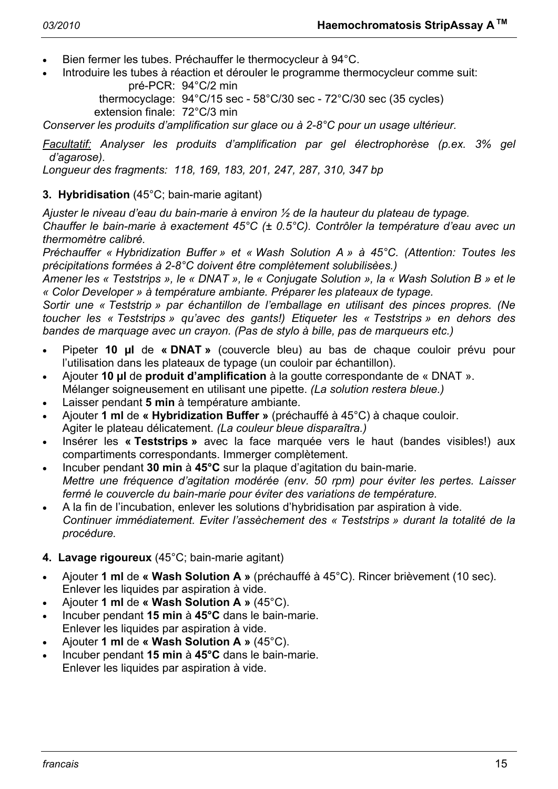- Bien fermer les tubes. Préchauffer le thermocycleur à 94°C.
- Introduire les tubes à réaction et dérouler le programme thermocycleur comme suit: pré-PCR: 94°C/2 min

 thermocyclage: 94°C/15 sec - 58°C/30 sec - 72°C/30 sec (35 cycles) extension finale: 72°C/3 min

*Conserver les produits d'amplification sur glace ou à 2-8°C pour un usage ultérieur.* 

*Facultatif: Analyser les produits d'amplification par gel électrophorèse (p.ex. 3% gel d'agarose).* 

*Longueur des fragments: 118, 169, 183, 201, 247, 287, 310, 347 bp* 

# **3. Hybridisation** (45°C; bain-marie agitant)

*Ajuster le niveau d'eau du bain-marie à environ ½ de la hauteur du plateau de typage.* 

*Chauffer le bain-marie à exactement 45°C (± 0.5°C). Contrôler la température d'eau avec un thermomètre calibré.* 

*Préchauffer « Hybridization Buffer » et « Wash Solution A » à 45°C. (Attention: Toutes les précipitations formées à 2-8°C doivent être complètement solubilisèes.)* 

*Amener les « Teststrips », le « DNAT », le « Conjugate Solution », la « Wash Solution B » et le « Color Developer » à température ambiante. Préparer les plateaux de typage.* 

*Sortir une « Teststrip » par échantillon de l'emballage en utilisant des pinces propres. (Ne toucher les « Teststrips » qu'avec des gants!) Etiqueter les « Teststrips » en dehors des bandes de marquage avec un crayon. (Pas de stylo à bille, pas de marqueurs etc.)* 

- Pipeter **10 µl** de **« DNAT »** (couvercle bleu) au bas de chaque couloir prévu pour l'utilisation dans les plateaux de typage (un couloir par échantillon).
- Ajouter **10 µl** de **produit d'amplification** à la goutte correspondante de « DNAT ». Mélanger soigneusement en utilisant une pipette. *(La solution restera bleue.)*
- Laisser pendant **5 min** à température ambiante.
- Ajouter **1 ml** de **« Hybridization Buffer »** (préchauffé à 45°C) à chaque couloir. Agiter le plateau délicatement. *(La couleur bleue disparaîtra.)*
- Insérer les **« Teststrips »** avec la face marquée vers le haut (bandes visibles!) aux compartiments correspondants. Immerger complètement.
- Incuber pendant **30 min** à **45°C** sur la plaque d'agitation du bain-marie. *Mettre une fréquence d'agitation modérée (env. 50 rpm) pour éviter les pertes. Laisser fermé le couvercle du bain-marie pour éviter des variations de température.*
- A la fin de l'incubation, enlever les solutions d'hybridisation par aspiration à vide.  *Continuer immédiatement. Eviter l'assèchement des « Teststrips » durant la totalité de la procédure.*
- **4. Lavage rigoureux** (45°C; bain-marie agitant)
- Ajouter **1 ml** de **« Wash Solution A »** (préchauffé à 45°C). Rincer brièvement (10 sec). Enlever les liquides par aspiration à vide.
- Ajouter **1 ml** de **« Wash Solution A »** (45°C).
- Incuber pendant **15 min** à **45°C** dans le bain-marie. Enlever les liquides par aspiration à vide.
- Ajouter **1 ml** de **« Wash Solution A »** (45°C).
- Incuber pendant **15 min** à **45°C** dans le bain-marie. Enlever les liquides par aspiration à vide.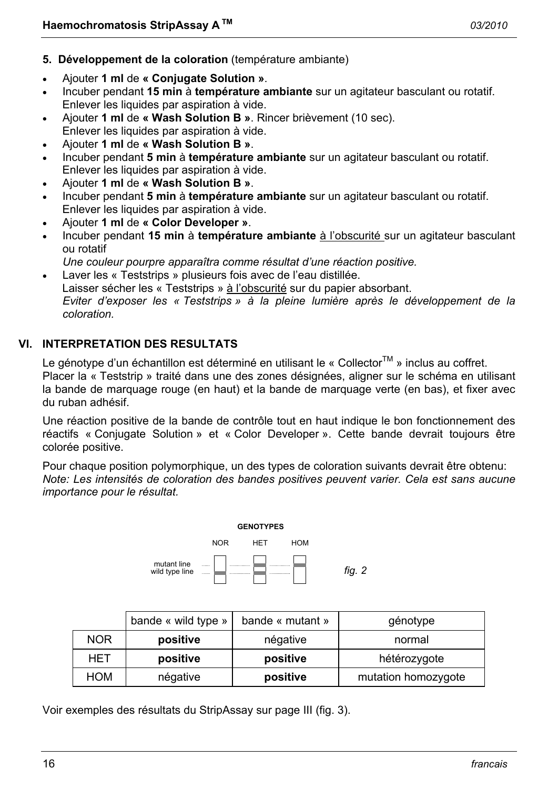- **5. Développement de la coloration** (température ambiante)
- Ajouter **1 ml** de **« Conjugate Solution »**.
- Incuber pendant **15 min** à **température ambiante** sur un agitateur basculant ou rotatif. Enlever les liquides par aspiration à vide.
- Ajouter **1 ml** de **« Wash Solution B »**. Rincer brièvement (10 sec). Enlever les liquides par aspiration à vide.
- Ajouter **1 ml** de **« Wash Solution B »**.
- Incuber pendant **5 min** à **température ambiante** sur un agitateur basculant ou rotatif. Enlever les liquides par aspiration à vide.
- Ajouter **1 ml** de **« Wash Solution B »**.
- Incuber pendant **5 min** à **température ambiante** sur un agitateur basculant ou rotatif. Enlever les liquides par aspiration à vide.
- Ajouter **1 ml** de **« Color Developer »**.
- Incuber pendant **15 min** à **température ambiante** à l'obscurité sur un agitateur basculant ou rotatif
- *Une couleur pourpre apparaîtra comme résultat d'une réaction positive.*
- Laver les « Teststrips » plusieurs fois avec de l'eau distillée. Laisser sécher les « Teststrips » à l'obscurité sur du papier absorbant.  *Eviter d'exposer les « Teststrips » à la pleine lumière après le développement de la coloration.*

# **VI. INTERPRETATION DES RESULTATS**

Le génotype d'un échantillon est déterminé en utilisant le « Collector<sup>TM</sup> » inclus au coffret. Placer la « Teststrip » traité dans une des zones désignées, aligner sur le schéma en utilisant la bande de marquage rouge (en haut) et la bande de marquage verte (en bas), et fixer avec du ruban adhésif.

Une réaction positive de la bande de contrôle tout en haut indique le bon fonctionnement des réactifs « Conjugate Solution » et « Color Developer ». Cette bande devrait toujours être colorée positive.

Pour chaque position polymorphique, un des types de coloration suivants devrait être obtenu: *Note: Les intensités de coloration des bandes positives peuvent varier. Cela est sans aucune importance pour le résultat.* 



|            | bande « wild type » | bande « mutant » | génotype            |
|------------|---------------------|------------------|---------------------|
| <b>NOR</b> | positive            | négative         | normal              |
| HET        | positive            | positive         | hétérozygote        |
| <b>HOM</b> | négative            | positive         | mutation homozygote |

Voir exemples des résultats du StripAssay sur page III (fig. 3).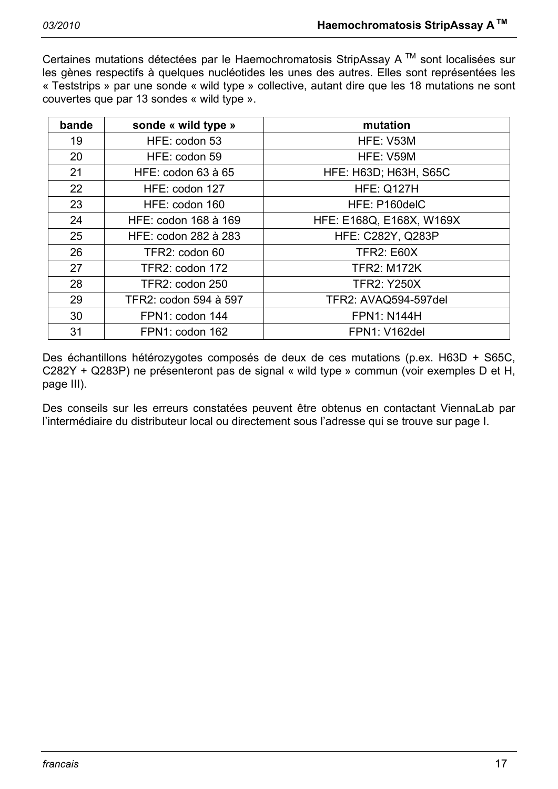Certaines mutations détectées par le Haemochromatosis StripAssay A<sup>™</sup> sont localisées sur les gènes respectifs à quelques nucléotides les unes des autres. Elles sont représentées les « Teststrips » par une sonde « wild type » collective, autant dire que les 18 mutations ne sont couvertes que par 13 sondes « wild type ».

| bande | sonde « wild type »   | mutation                     |
|-------|-----------------------|------------------------------|
| 19    | HFE: codon 53         | HFE: V53M                    |
| 20    | HFE: codon 59         | HFE: V59M                    |
| 21    | HFE: codon 63 à 65    | <b>HFE: H63D; H63H, S65C</b> |
| 22    | HFE: codon 127        | <b>HFE: Q127H</b>            |
| 23    | HFE: codon 160        | HFE: P160delC                |
| 24    | HFE: codon 168 à 169  | HFE: E168Q, E168X, W169X     |
| 25    | HFE: codon 282 à 283  | <b>HFE: C282Y, Q283P</b>     |
| 26    | TFR2: codon 60        | <b>TFR2: E60X</b>            |
| 27    | TFR2: codon 172       | <b>TFR2: M172K</b>           |
| 28    | TFR2: codon 250       | <b>TFR2: Y250X</b>           |
| 29    | TFR2: codon 594 à 597 | TFR2: AVAQ594-597del         |
| 30    | FPN1: codon 144       | <b>FPN1: N144H</b>           |
| 31    | FPN1: codon 162       | <b>FPN1: V162del</b>         |

Des échantillons hétérozygotes composés de deux de ces mutations (p.ex. H63D + S65C, C282Y + Q283P) ne présenteront pas de signal « wild type » commun (voir exemples D et H, page III).

Des conseils sur les erreurs constatées peuvent être obtenus en contactant ViennaLab par l'intermédiaire du distributeur local ou directement sous l'adresse qui se trouve sur page I.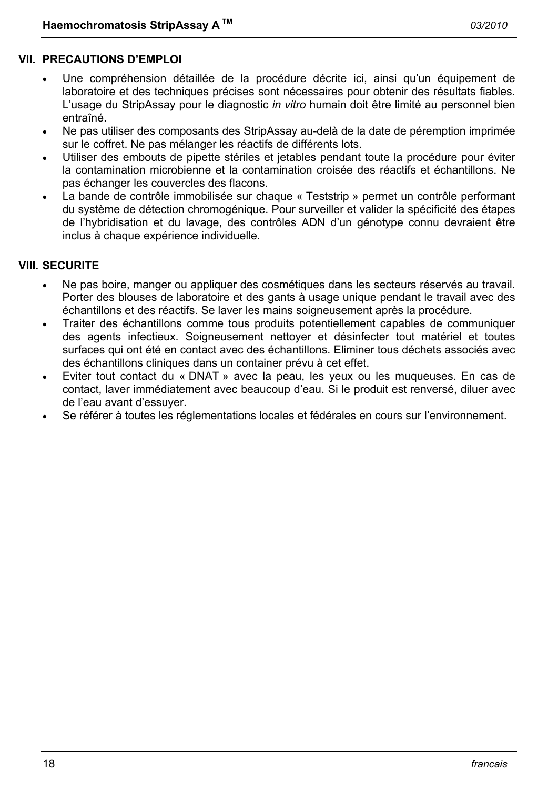#### **VII. PRECAUTIONS D'EMPLOI**

- Une compréhension détaillée de la procédure décrite ici, ainsi qu'un équipement de laboratoire et des techniques précises sont nécessaires pour obtenir des résultats fiables. L'usage du StripAssay pour le diagnostic *in vitro* humain doit être limité au personnel bien entraîné.
- Ne pas utiliser des composants des StripAssay au-delà de la date de péremption imprimée sur le coffret. Ne pas mélanger les réactifs de différents lots.
- Utiliser des embouts de pipette stériles et jetables pendant toute la procédure pour éviter la contamination microbienne et la contamination croisée des réactifs et échantillons. Ne pas échanger les couvercles des flacons.
- La bande de contrôle immobilisée sur chaque « Teststrip » permet un contrôle performant du système de détection chromogénique. Pour surveiller et valider la spécificité des étapes de l'hybridisation et du lavage, des contrôles ADN d'un génotype connu devraient être inclus à chaque expérience individuelle.

#### **VIII. SECURITE**

- Ne pas boire, manger ou appliquer des cosmétiques dans les secteurs réservés au travail. Porter des blouses de laboratoire et des gants à usage unique pendant le travail avec des échantillons et des réactifs. Se laver les mains soigneusement après la procédure.
- Traiter des échantillons comme tous produits potentiellement capables de communiquer des agents infectieux. Soigneusement nettoyer et désinfecter tout matériel et toutes surfaces qui ont été en contact avec des échantillons. Eliminer tous déchets associés avec des échantillons cliniques dans un container prévu à cet effet.
- Eviter tout contact du « DNAT » avec la peau, les yeux ou les muqueuses. En cas de contact, laver immédiatement avec beaucoup d'eau. Si le produit est renversé, diluer avec de l'eau avant d'essuyer.
- Se référer à toutes les réglementations locales et fédérales en cours sur l'environnement.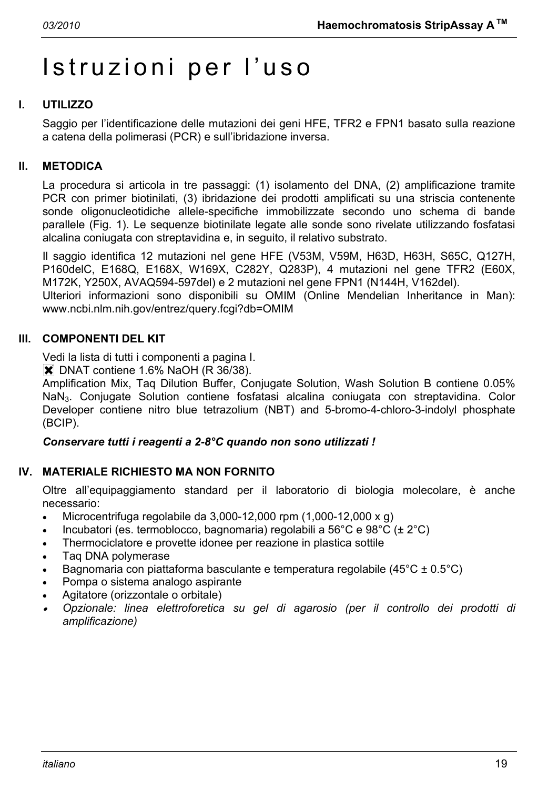# Istruzioni per l'uso

# **I. UTILIZZO**

Saggio per l'identificazione delle mutazioni dei geni HFE, TFR2 e FPN1 basato sulla reazione a catena della polimerasi (PCR) e sull'ibridazione inversa.

#### **II. METODICA**

La procedura si articola in tre passaggi: (1) isolamento del DNA, (2) amplificazione tramite PCR con primer biotinilati, (3) ibridazione dei prodotti amplificati su una striscia contenente sonde oligonucleotidiche allele-specifiche immobilizzate secondo uno schema di bande parallele (Fig. 1). Le sequenze biotinilate legate alle sonde sono rivelate utilizzando fosfatasi alcalina coniugata con streptavidina e, in seguito, il relativo substrato.

Il saggio identifica 12 mutazioni nel gene HFE (V53M, V59M, H63D, H63H, S65C, Q127H, P160delC, E168Q, E168X, W169X, C282Y, Q283P), 4 mutazioni nel gene TFR2 (E60X, M172K, Y250X, AVAQ594-597del) e 2 mutazioni nel gene FPN1 (N144H, V162del).

Ulteriori informazioni sono disponibili su OMIM (Online Mendelian Inheritance in Man): www.ncbi.nlm.nih.gov/entrez/query.fcgi?db=OMIM

#### **III. COMPONENTI DEL KIT**

Vedi la lista di tutti i componenti a pagina I.

**X** DNAT contiene 1.6% NaOH (R 36/38).

Amplification Mix, Taq Dilution Buffer, Conjugate Solution, Wash Solution B contiene 0.05% NaN3. Conjugate Solution contiene fosfatasi alcalina coniugata con streptavidina. Color Developer contiene nitro blue tetrazolium (NBT) and 5-bromo-4-chloro-3-indolyl phosphate (BCIP).

#### *Conservare tutti i reagenti a 2-8°C quando non sono utilizzati !*

#### **IV. MATERIALE RICHIESTO MA NON FORNITO**

Oltre all'equipaggiamento standard per il laboratorio di biologia molecolare, è anche necessario:

- Microcentrifuga regolabile da  $3,000-12,000$  rpm  $(1,000-12,000 \times g)$
- Incubatori (es. termoblocco, bagnomaria) regolabili a 56°C e 98°C ( $\pm 2$ °C)
- Thermociclatore e provette idonee per reazione in plastica sottile
- Taq DNA polymerase
- Bagnomaria con piattaforma basculante e temperatura regolabile (45°C ± 0.5°C)
- Pompa o sistema analogo aspirante
- Agitatore (orizzontale o orbitale)
- • *Opzionale: linea elettroforetica su gel di agarosio (per il controllo dei prodotti di amplificazione)*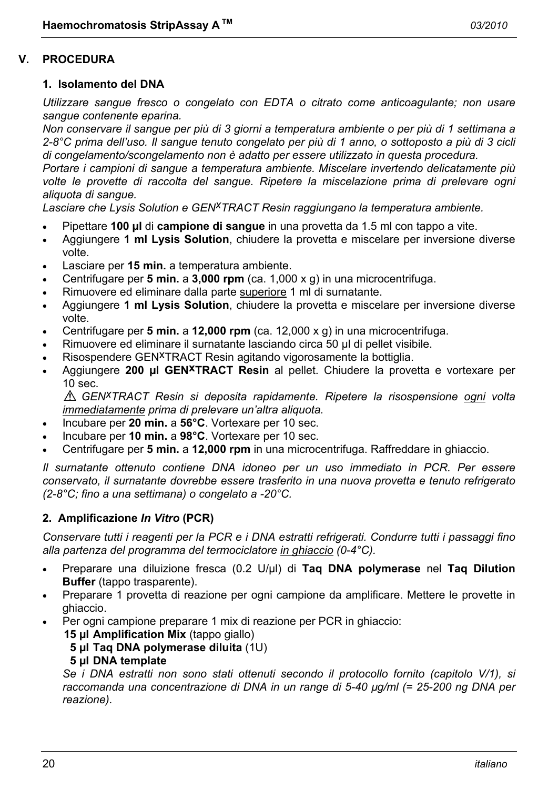#### **V. PROCEDURA**

#### **1. Isolamento del DNA**

*Utilizzare sangue fresco o congelato con EDTA o citrato come anticoagulante; non usare sangue contenente eparina.* 

*Non conservare il sangue per più di 3 giorni a temperatura ambiente o per più di 1 settimana a 2-8°C prima dell'uso. Il sangue tenuto congelato per più di 1 anno, o sottoposto a più di 3 cicli di congelamento/scongelamento non è adatto per essere utilizzato in questa procedura.* 

*Portare i campioni di sangue a temperatura ambiente. Miscelare invertendo delicatamente più volte le provette di raccolta del sangue. Ripetere la miscelazione prima di prelevare ogni aliquota di sangue.* 

*Lasciare che Lysis Solution e GENxTRACT Resin raggiungano la temperatura ambiente.*

- Pipettare **100 µl** di **campione di sangue** in una provetta da 1.5 ml con tappo a vite.
- Aggiungere **1 ml Lysis Solution**, chiudere la provetta e miscelare per inversione diverse volte.
- Lasciare per **15 min.** a temperatura ambiente.
- Centrifugare per **5 min.** a **3,000 rpm** (ca. 1,000 x g) in una microcentrifuga.
- Rimuovere ed eliminare dalla parte superiore 1 ml di surnatante.
- Aggiungere **1 ml Lysis Solution**, chiudere la provetta e miscelare per inversione diverse volte.
- Centrifugare per **5 min.** a **12,000 rpm** (ca. 12,000 x g) in una microcentrifuga.
- Rimuovere ed eliminare il surnatante lasciando circa 50 µl di pellet visibile.
- Risospendere GEN<sup>X</sup>TRACT Resin agitando vigorosamente la bottiglia.
- Aggiungere **200 µl GENxTRACT Resin** al pellet. Chiudere la provetta e vortexare per 10 sec.

*GENxTRACT Resin si deposita rapidamente. Ripetere la risospensione ogni volta immediatamente prima di prelevare un'altra aliquota.* 

- Incubare per **20 min.** a **56°C**. Vortexare per 10 sec.
- Incubare per **10 min.** a **98°C**. Vortexare per 10 sec.
- Centrifugare per **5 min.** a **12,000 rpm** in una microcentrifuga. Raffreddare in ghiaccio.

*Il surnatante ottenuto contiene DNA idoneo per un uso immediato in PCR. Per essere conservato, il surnatante dovrebbe essere trasferito in una nuova provetta e tenuto refrigerato (2-8°C; fino a una settimana) o congelato a -20°C.* 

#### **2. Amplificazione** *In Vitro* **(PCR)**

*Conservare tutti i reagenti per la PCR e i DNA estratti refrigerati. Condurre tutti i passaggi fino alla partenza del programma del termociclatore in ghiaccio (0-4°C).* 

- Preparare una diluizione fresca (0.2 U/µl) di **Taq DNA polymerase** nel **Taq Dilution Buffer** (tappo trasparente).
- Preparare 1 provetta di reazione per ogni campione da amplificare. Mettere le provette in ghiaccio.
- Per ogni campione preparare 1 mix di reazione per PCR in ghiaccio:
	- **15 µl Amplification Mix** (tappo giallo)
		- **5 µl Taq DNA polymerase diluita** (1U)

#### **5 µl DNA template**

 *Se i DNA estratti non sono stati ottenuti secondo il protocollo fornito (capitolo V/1), si raccomanda una concentrazione di DNA in un range di 5-40 µg/ml (= 25-200 ng DNA per reazione).*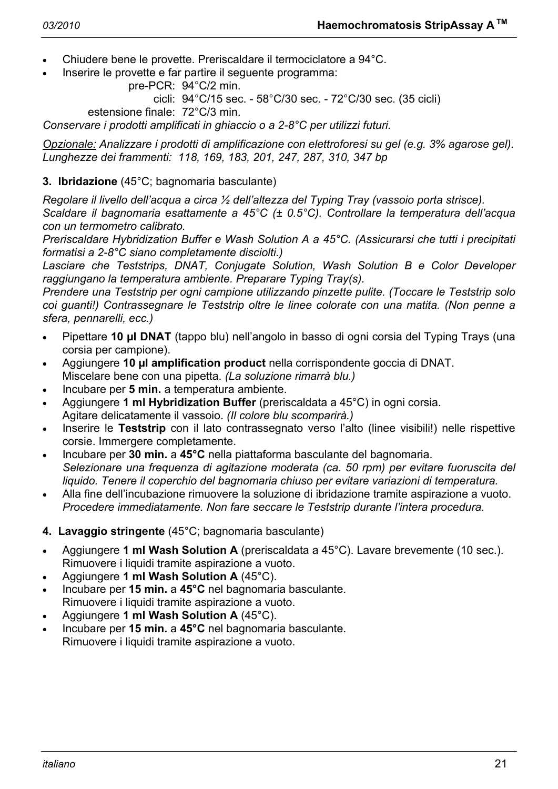- Chiudere bene le provette. Preriscaldare il termociclatore a 94°C.
- Inserire le provette e far partire il seguente programma:

```
 pre-PCR: 94°C/2 min.
```
cicli: 94°C/15 sec. - 58°C/30 sec. - 72°C/30 sec. (35 cicli)

estensione finale: 72°C/3 min.

*Conservare i prodotti amplificati in ghiaccio o a 2-8°C per utilizzi futuri.* 

*Opzionale: Analizzare i prodotti di amplificazione con elettroforesi su gel (e.g. 3% agarose gel). Lunghezze dei frammenti: 118, 169, 183, 201, 247, 287, 310, 347 bp* 

# **3. Ibridazione** (45°C; bagnomaria basculante)

*Regolare il livello dell'acqua a circa ½ dell'altezza del Typing Tray (vassoio porta strisce).* 

*Scaldare il bagnomaria esattamente a 45°C (± 0.5°C). Controllare la temperatura dell'acqua con un termometro calibrato.* 

*Preriscaldare Hybridization Buffer e Wash Solution A a 45°C. (Assicurarsi che tutti i precipitati formatisi a 2-8°C siano completamente disciolti.)* 

*Lasciare che Teststrips, DNAT, Conjugate Solution, Wash Solution B e Color Developer raggiungano la temperatura ambiente. Preparare Typing Tray(s).* 

*Prendere una Teststrip per ogni campione utilizzando pinzette pulite. (Toccare le Teststrip solo coi guanti!) Contrassegnare le Teststrip oltre le linee colorate con una matita. (Non penne a sfera, pennarelli, ecc.)* 

- Pipettare **10 µl DNAT** (tappo blu) nell'angolo in basso di ogni corsia del Typing Trays (una corsia per campione).
- Aggiungere **10 µl amplification product** nella corrispondente goccia di DNAT. Miscelare bene con una pipetta. *(La soluzione rimarrà blu.)*
- Incubare per **5 min.** a temperatura ambiente.
- Aggiungere **1 ml Hybridization Buffer** (preriscaldata a 45°C) in ogni corsia. Agitare delicatamente il vassoio. *(Il colore blu scomparirà.)*
- Inserire le **Teststrip** con il lato contrassegnato verso l'alto (linee visibili!) nelle rispettive corsie. Immergere completamente.
- Incubare per **30 min.** a **45°C** nella piattaforma basculante del bagnomaria.  *Selezionare una frequenza di agitazione moderata (ca. 50 rpm) per evitare fuoruscita del liquido. Tenere il coperchio del bagnomaria chiuso per evitare variazioni di temperatura.*
- Alla fine dell'incubazione rimuovere la soluzione di ibridazione tramite aspirazione a vuoto.  *Procedere immediatamente. Non fare seccare le Teststrip durante l'intera procedura.*
- **4. Lavaggio stringente** (45°C; bagnomaria basculante)
- Aggiungere **1 ml Wash Solution A** (preriscaldata a 45°C). Lavare brevemente (10 sec.). Rimuovere i liquidi tramite aspirazione a vuoto.
- Aggiungere **1 ml Wash Solution A** (45°C).
- Incubare per **15 min.** a **45°C** nel bagnomaria basculante. Rimuovere i liquidi tramite aspirazione a vuoto.
- Aggiungere **1 ml Wash Solution A** (45°C).
- Incubare per **15 min.** a **45°C** nel bagnomaria basculante. Rimuovere i liquidi tramite aspirazione a vuoto.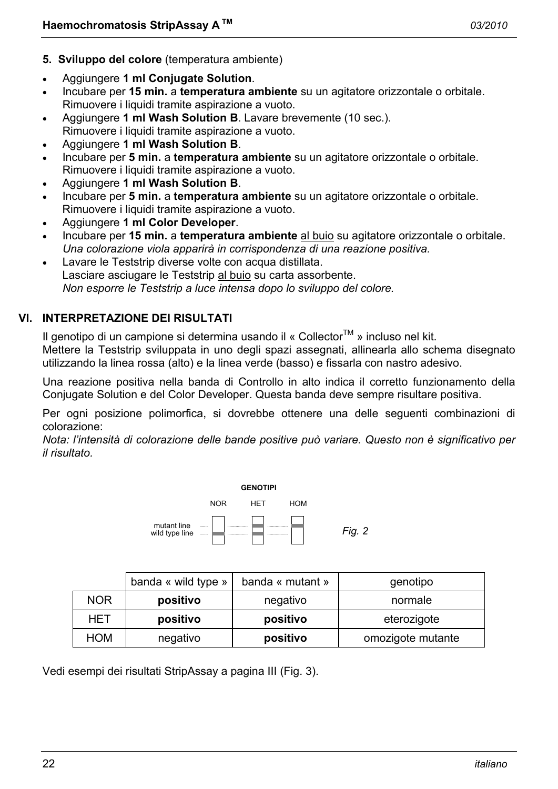- **5. Sviluppo del colore** (temperatura ambiente)
- Aggiungere **1 ml Conjugate Solution**.
- Incubare per **15 min.** a **temperatura ambiente** su un agitatore orizzontale o orbitale. Rimuovere i liquidi tramite aspirazione a vuoto.
- Aggiungere **1 ml Wash Solution B**. Lavare brevemente (10 sec.). Rimuovere i liquidi tramite aspirazione a vuoto.
- Aggiungere **1 ml Wash Solution B**.
- Incubare per **5 min.** a **temperatura ambiente** su un agitatore orizzontale o orbitale. Rimuovere i liquidi tramite aspirazione a vuoto.
- Aggiungere **1 ml Wash Solution B**.
- Incubare per **5 min.** a **temperatura ambiente** su un agitatore orizzontale o orbitale. Rimuovere i liquidi tramite aspirazione a vuoto.
- Aggiungere **1 ml Color Developer**.
- Incubare per **15 min.** a **temperatura ambiente** al buio su agitatore orizzontale o orbitale.  *Una colorazione viola apparirà in corrispondenza di una reazione positiva.*
- Lavare le Teststrip diverse volte con acqua distillata. Lasciare asciugare le Teststrip al buio su carta assorbente.  *Non esporre le Teststrip a luce intensa dopo lo sviluppo del colore.*

# **VI. INTERPRETAZIONE DEI RISULTATI**

Il genotipo di un campione si determina usando il « Collector<sup>TM</sup> » incluso nel kit. Mettere la Teststrip sviluppata in uno degli spazi assegnati, allinearla allo schema disegnato utilizzando la linea rossa (alto) e la linea verde (basso) e fissarla con nastro adesivo.

Una reazione positiva nella banda di Controllo in alto indica il corretto funzionamento della Conjugate Solution e del Color Developer. Questa banda deve sempre risultare positiva.

Per ogni posizione polimorfica, si dovrebbe ottenere una delle seguenti combinazioni di colorazione:

*Nota: l'intensità di colorazione delle bande positive può variare. Questo non è significativo per il risultato.* 



|            | banda « wild type » | banda « mutant » | genotipo          |
|------------|---------------------|------------------|-------------------|
| <b>NOR</b> | positivo            | negativo         | normale           |
| HET        | positivo            | positivo         | eterozigote       |
| <b>HOM</b> | negativo            | positivo         | omozigote mutante |

Vedi esempi dei risultati StripAssay a pagina III (Fig. 3).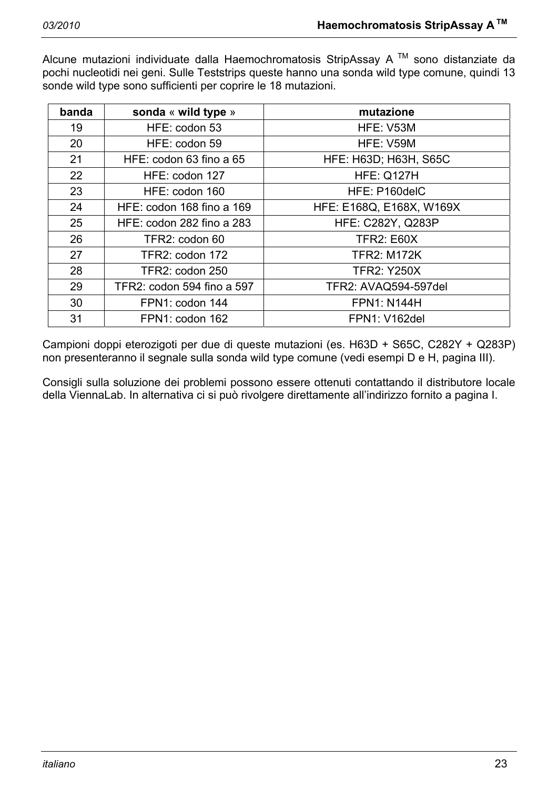Alcune mutazioni individuate dalla Haemochromatosis StripAssay A  $TM$  sono distanziate da pochi nucleotidi nei geni. Sulle Teststrips queste hanno una sonda wild type comune, quindi 13 sonde wild type sono sufficienti per coprire le 18 mutazioni.

| banda | sonda « wild type »        | mutazione                    |
|-------|----------------------------|------------------------------|
| 19    | HFE: codon 53              | HFE: V53M                    |
| 20    | HFE: codon 59              | HFE: V59M                    |
| 21    | HFE: codon 63 fino a 65    | <b>HFE: H63D; H63H, S65C</b> |
| 22    | HFE: codon 127             | <b>HFE: Q127H</b>            |
| 23    | HFE: codon 160             | HFE: P160delC                |
| 24    | HFE: codon 168 fino a 169  | HFE: E168Q, E168X, W169X     |
| 25    | HFE: codon 282 fino a 283  | <b>HFE: C282Y, Q283P</b>     |
| 26    | TFR2: codon 60             | <b>TFR2: E60X</b>            |
| 27    | TFR2: codon 172            | <b>TFR2: M172K</b>           |
| 28    | TFR2: codon 250            | <b>TFR2: Y250X</b>           |
| 29    | TFR2: codon 594 fino a 597 | TFR2: AVAQ594-597del         |
| 30    | FPN1: codon 144            | <b>FPN1: N144H</b>           |
| 31    | FPN1: codon 162            | <b>FPN1: V162del</b>         |

Campioni doppi eterozigoti per due di queste mutazioni (es. H63D + S65C, C282Y + Q283P) non presenteranno il segnale sulla sonda wild type comune (vedi esempi D e H, pagina III).

Consigli sulla soluzione dei problemi possono essere ottenuti contattando il distributore locale della ViennaLab. In alternativa ci si può rivolgere direttamente all'indirizzo fornito a pagina I.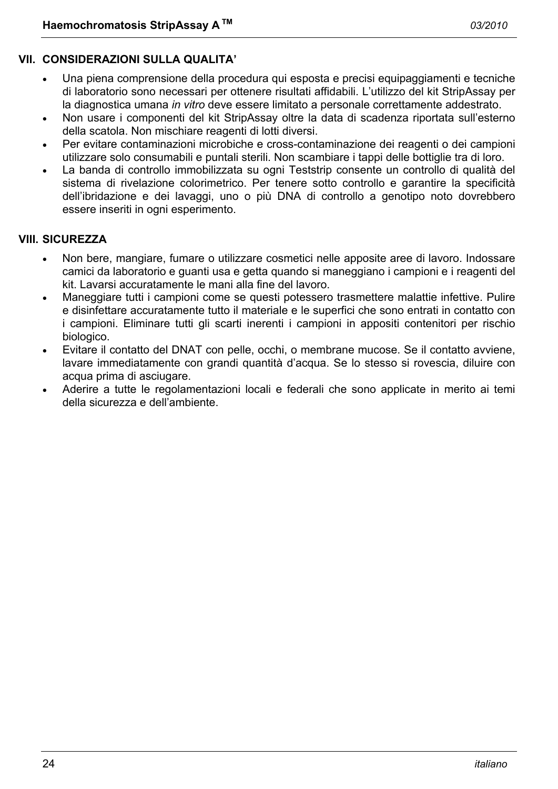### **VII. CONSIDERAZIONI SULLA QUALITA'**

- Una piena comprensione della procedura qui esposta e precisi equipaggiamenti e tecniche di laboratorio sono necessari per ottenere risultati affidabili. L'utilizzo del kit StripAssay per la diagnostica umana *in vitro* deve essere limitato a personale correttamente addestrato.
- Non usare i componenti del kit StripAssay oltre la data di scadenza riportata sull'esterno della scatola. Non mischiare reagenti di lotti diversi.
- Per evitare contaminazioni microbiche e cross-contaminazione dei reagenti o dei campioni utilizzare solo consumabili e puntali sterili. Non scambiare i tappi delle bottiglie tra di loro.
- La banda di controllo immobilizzata su ogni Teststrip consente un controllo di qualità del sistema di rivelazione colorimetrico. Per tenere sotto controllo e garantire la specificità dell'ibridazione e dei lavaggi, uno o più DNA di controllo a genotipo noto dovrebbero essere inseriti in ogni esperimento.

#### **VIII. SICUREZZA**

- Non bere, mangiare, fumare o utilizzare cosmetici nelle apposite aree di lavoro. Indossare camici da laboratorio e guanti usa e getta quando si maneggiano i campioni e i reagenti del kit. Lavarsi accuratamente le mani alla fine del lavoro.
- Maneggiare tutti i campioni come se questi potessero trasmettere malattie infettive. Pulire e disinfettare accuratamente tutto il materiale e le superfici che sono entrati in contatto con i campioni. Eliminare tutti gli scarti inerenti i campioni in appositi contenitori per rischio biologico.
- Evitare il contatto del DNAT con pelle, occhi, o membrane mucose. Se il contatto avviene, lavare immediatamente con grandi quantità d'acqua. Se lo stesso si rovescia, diluire con acqua prima di asciugare.
- Aderire a tutte le regolamentazioni locali e federali che sono applicate in merito ai temi della sicurezza e dell'ambiente.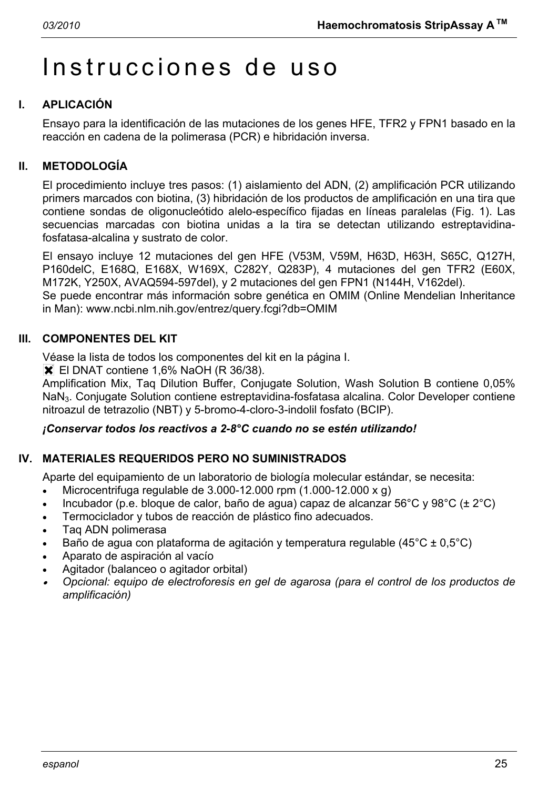# Instrucciones de uso

# **I. APLICACIÓN**

Ensayo para la identificación de las mutaciones de los genes HFE, TFR2 y FPN1 basado en la reacción en cadena de la polimerasa (PCR) e hibridación inversa.

# **II. METODOLOGÍA**

El procedimiento incluye tres pasos: (1) aislamiento del ADN, (2) amplificación PCR utilizando primers marcados con biotina, (3) hibridación de los productos de amplificación en una tira que contiene sondas de oligonucleótido alelo-específico fijadas en líneas paralelas (Fig. 1). Las secuencias marcadas con biotina unidas a la tira se detectan utilizando estreptavidinafosfatasa-alcalina y sustrato de color.

El ensayo incluye 12 mutaciones del gen HFE (V53M, V59M, H63D, H63H, S65C, Q127H, P160delC, E168Q, E168X, W169X, C282Y, Q283P), 4 mutaciones del gen TFR2 (E60X, M172K, Y250X, AVAQ594-597del), y 2 mutaciones del gen FPN1 (N144H, V162del). Se puede encontrar más información sobre genética en OMIM (Online Mendelian Inheritance in Man): www.ncbi.nlm.nih.gov/entrez/query.fcgi?db=OMIM

# **III. COMPONENTES DEL KIT**

Véase la lista de todos los componentes del kit en la página I.

**X** El DNAT contiene 1,6% NaOH (R 36/38).

Amplification Mix, Taq Dilution Buffer, Conjugate Solution, Wash Solution B contiene 0,05% NaN3. Conjugate Solution contiene estreptavidina-fosfatasa alcalina. Color Developer contiene nitroazul de tetrazolio (NBT) y 5-bromo-4-cloro-3-indolil fosfato (BCIP).

#### *¡Conservar todos los reactivos a 2-8°C cuando no se estén utilizando!*

# **IV. MATERIALES REQUERIDOS PERO NO SUMINISTRADOS**

Aparte del equipamiento de un laboratorio de biología molecular estándar, se necesita:

- Microcentrifuga regulable de  $3.000-12.000$  rpm  $(1.000-12.000 \times g)$
- Incubador (p.e. bloque de calor, baño de agua) capaz de alcanzar 56°C y 98°C ( $\pm 2$ °C)
- Termociclador y tubos de reacción de plástico fino adecuados.
- Taq ADN polimerasa
- Baño de agua con plataforma de agitación y temperatura regulable (45°C ± 0,5°C)
- Aparato de aspiración al vacío
- Agitador (balanceo o agitador orbital)
- • *Opcional: equipo de electroforesis en gel de agarosa (para el control de los productos de amplificación)*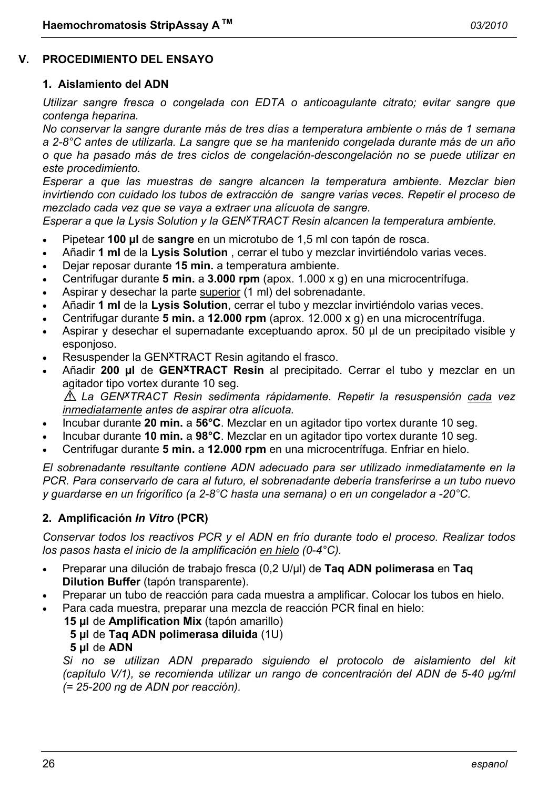#### **V. PROCEDIMIENTO DEL ENSAYO**

#### **1. Aislamiento del ADN**

*Utilizar sangre fresca o congelada con EDTA o anticoagulante citrato; evitar sangre que contenga heparina.* 

*No conservar la sangre durante más de tres días a temperatura ambiente o más de 1 semana a 2-8°C antes de utilizarla. La sangre que se ha mantenido congelada durante más de un año o que ha pasado más de tres ciclos de congelación-descongelación no se puede utilizar en este procedimiento.* 

*Esperar a que las muestras de sangre alcancen la temperatura ambiente. Mezclar bien invirtiendo con cuidado los tubos de extracción de sangre varias veces. Repetir el proceso de mezclado cada vez que se vaya a extraer una alícuota de sangre.* 

*Esperar a que la Lysis Solution y la GENxTRACT Resin alcancen la temperatura ambiente.*

- Pipetear **100 µl** de **sangre** en un microtubo de 1,5 ml con tapón de rosca.
- Añadir **1 ml** de la **Lysis Solution** , cerrar el tubo y mezclar invirtiéndolo varias veces.
- Dejar reposar durante **15 min.** a temperatura ambiente.
- Centrifugar durante **5 min.** a **3.000 rpm** (apox. 1.000 x g) en una microcentrífuga.
- Aspirar y desechar la parte superior (1 ml) del sobrenadante.
- Añadir **1 ml** de la **Lysis Solution**, cerrar el tubo y mezclar invirtiéndolo varias veces.
- Centrifugar durante **5 min.** a **12.000 rpm** (aprox. 12.000 x g) en una microcentrífuga.
- Aspirar y desechar el supernadante exceptuando aprox. 50 µl de un precipitado visible y esponjoso.
- Resuspender la GEN<sup>X</sup>TRACT Resin agitando el frasco.
- Añadir **200 µl** de **GENxTRACT Resin** al precipitado. Cerrar el tubo y mezclar en un agitador tipo vortex durante 10 seg. *La GENxTRACT Resin sedimenta rápidamente. Repetir la resuspensión cada vez*

*inmediatamente antes de aspirar otra alícuota.* 

- Incubar durante **20 min.** a **56°C**. Mezclar en un agitador tipo vortex durante 10 seg.
- Incubar durante **10 min.** a **98°C**. Mezclar en un agitador tipo vortex durante 10 seg.
- Centrifugar durante **5 min.** a **12.000 rpm** en una microcentrífuga. Enfriar en hielo.

*El sobrenadante resultante contiene ADN adecuado para ser utilizado inmediatamente en la PCR. Para conservarlo de cara al futuro, el sobrenadante debería transferirse a un tubo nuevo y guardarse en un frigorífico (a 2-8°C hasta una semana) o en un congelador a -20°C.* 

#### **2. Amplificación** *In Vitro* **(PCR)**

*Conservar todos los reactivos PCR y el ADN en frío durante todo el proceso. Realizar todos los pasos hasta el inicio de la amplificación en hielo (0-4°C).* 

- Preparar una dilución de trabajo fresca (0,2 U/µl) de **Taq ADN polimerasa** en **Taq Dilution Buffer** (tapón transparente).
- Preparar un tubo de reacción para cada muestra a amplificar. Colocar los tubos en hielo.
- Para cada muestra, preparar una mezcla de reacción PCR final en hielo:
	- **15 µl** de **Amplification Mix** (tapón amarillo)
		- **5 µl** de **Taq ADN polimerasa diluida** (1U)
		- **5 µl** de **ADN**

 *Si no se utilizan ADN preparado siguiendo el protocolo de aislamiento del kit (capítulo V/1), se recomienda utilizar un rango de concentración del ADN de 5-40 µg/ml (= 25-200 ng de ADN por reacción).*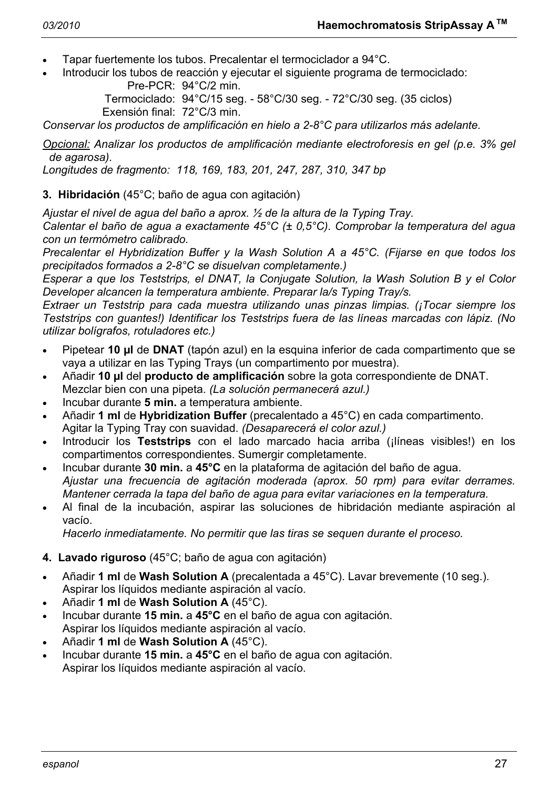- Tapar fuertemente los tubos. Precalentar el termociclador a 94°C.
- Introducir los tubos de reacción y ejecutar el siguiente programa de termociclado: Pre-PCR: 94°C/2 min.

 Termociclado: 94°C/15 seg. - 58°C/30 seg. - 72°C/30 seg. (35 ciclos) Exensión final: 72°C/3 min.

*Conservar los productos de amplificación en hielo a 2-8°C para utilizarlos más adelante.* 

*Opcional: Analizar los productos de amplificación mediante electroforesis en gel (p.e. 3% gel de agarosa).* 

*Longitudes de fragmento: 118, 169, 183, 201, 247, 287, 310, 347 bp* 

#### **3. Hibridación** (45°C; baño de agua con agitación)

*Ajustar el nivel de agua del baño a aprox. ½ de la altura de la Typing Tray.* 

*Calentar el baño de agua a exactamente 45°C (± 0,5°C). Comprobar la temperatura del agua con un termómetro calibrado.* 

*Precalentar el Hybridization Buffer y la Wash Solution A a 45°C. (Fijarse en que todos los precipitados formados a 2-8°C se disuelvan completamente.)* 

*Esperar a que los Teststrips, el DNAT, la Conjugate Solution, la Wash Solution B y el Color Developer alcancen la temperatura ambiente. Preparar la/s Typing Tray/s.* 

*Extraer un Teststrip para cada muestra utilizando unas pinzas limpias. (¡Tocar siempre los Teststrips con guantes!) Identificar los Teststrips fuera de las líneas marcadas con lápiz. (No utilizar bolígrafos, rotuladores etc.)* 

- Pipetear **10 µl** de **DNAT** (tapón azul) en la esquina inferior de cada compartimento que se vaya a utilizar en las Typing Trays (un compartimento por muestra).
- Añadir **10 µl** del **producto de amplificación** sobre la gota correspondiente de DNAT. Mezclar bien con una pipeta. *(La solución permanecerá azul.)*
- Incubar durante **5 min.** a temperatura ambiente.
- Añadir **1 ml** de **Hybridization Buffer** (precalentado a 45°C) en cada compartimento. Agitar la Typing Tray con suavidad. *(Desaparecerá el color azul.)*
- Introducir los **Teststrips** con el lado marcado hacia arriba (¡líneas visibles!) en los compartimentos correspondientes. Sumergir completamente.
- Incubar durante **30 min.** a **45°C** en la plataforma de agitación del baño de agua.  *Ajustar una frecuencia de agitación moderada (aprox. 50 rpm) para evitar derrames. Mantener cerrada la tapa del baño de agua para evitar variaciones en la temperatura.*
- Al final de la incubación, aspirar las soluciones de hibridación mediante aspiración al vacío.

 *Hacerlo inmediatamente. No permitir que las tiras se sequen durante el proceso.* 

- **4. Lavado riguroso** (45°C; baño de agua con agitación)
- Añadir **1 ml** de **Wash Solution A** (precalentada a 45°C). Lavar brevemente (10 seg.). Aspirar los líquidos mediante aspiración al vacío.
- Añadir **1 ml** de **Wash Solution A** (45°C).
- Incubar durante **15 min.** a **45°C** en el baño de agua con agitación. Aspirar los líquidos mediante aspiración al vacío.
- Añadir **1 ml** de **Wash Solution A** (45°C).
- Incubar durante **15 min.** a **45°C** en el baño de agua con agitación. Aspirar los líquidos mediante aspiración al vacío.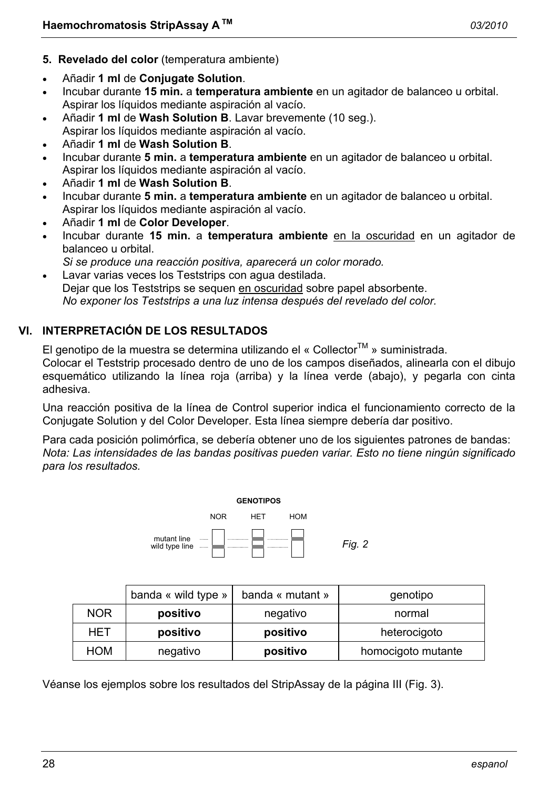- **5. Revelado del color** (temperatura ambiente)
- Añadir **1 ml** de **Conjugate Solution**.
- Incubar durante **15 min.** a **temperatura ambiente** en un agitador de balanceo u orbital. Aspirar los líquidos mediante aspiración al vacío.
- Añadir **1 ml** de **Wash Solution B**. Lavar brevemente (10 seg.). Aspirar los líquidos mediante aspiración al vacío.
- Añadir **1 ml** de **Wash Solution B**.
- Incubar durante **5 min.** a **temperatura ambiente** en un agitador de balanceo u orbital. Aspirar los líquidos mediante aspiración al vacío.
- Añadir **1 ml** de **Wash Solution B**.
- Incubar durante **5 min.** a **temperatura ambiente** en un agitador de balanceo u orbital. Aspirar los líquidos mediante aspiración al vacío.
- Añadir **1 ml** de **Color Developer**.
- Incubar durante **15 min.** a **temperatura ambiente** en la oscuridad en un agitador de balanceo u orbital.
- *Si se produce una reacción positiva, aparecerá un color morado.*
- Lavar varias veces los Teststrips con agua destilada. Dejar que los Teststrips se sequen en oscuridad sobre papel absorbente.  *No exponer los Teststrips a una luz intensa después del revelado del color.*

# **VI. INTERPRETACIÓN DE LOS RESULTADOS**

El genotipo de la muestra se determina utilizando el « Collector<sup>TM</sup> » suministrada.

Colocar el Teststrip procesado dentro de uno de los campos diseñados, alinearla con el dibujo esquemático utilizando la línea roja (arriba) y la línea verde (abajo), y pegarla con cinta adhesiva.

Una reacción positiva de la línea de Control superior indica el funcionamiento correcto de la Conjugate Solution y del Color Developer. Esta línea siempre debería dar positivo.

Para cada posición polimórfica, se debería obtener uno de los siguientes patrones de bandas: *Nota: Las intensidades de las bandas positivas pueden variar. Esto no tiene ningún significado para los resultados.* 



|            | banda « wild type » | banda « mutant » | genotipo           |
|------------|---------------------|------------------|--------------------|
| <b>NOR</b> | positivo            | negativo         | normal             |
| HET        | positivo            | positivo         | heterocigoto       |
| <b>HOM</b> | negativo            | positivo         | homocigoto mutante |

Véanse los ejemplos sobre los resultados del StripAssay de la página III (Fig. 3).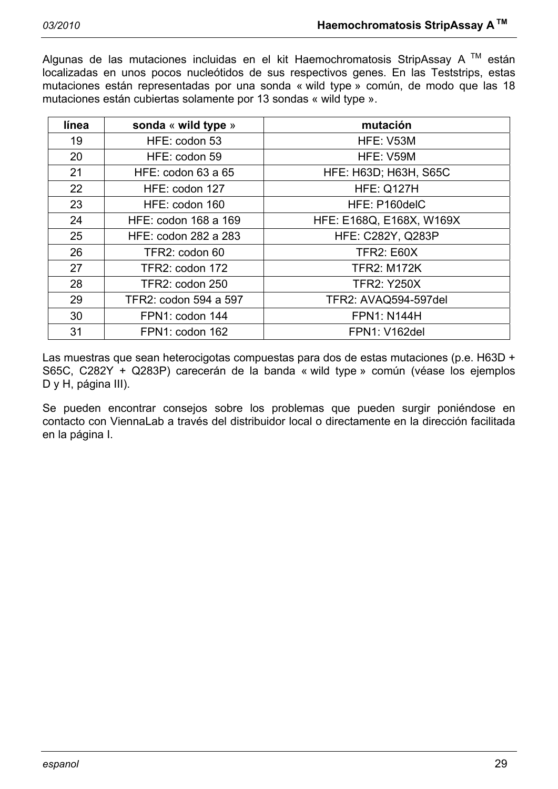Algunas de las mutaciones incluidas en el kit Haemochromatosis StripAssay A  $^{TM}$  están localizadas en unos pocos nucleótidos de sus respectivos genes. En las Teststrips, estas mutaciones están representadas por una sonda « wild type » común, de modo que las 18 mutaciones están cubiertas solamente por 13 sondas « wild type ».

| línea | sonda « wild type »   | mutación                     |
|-------|-----------------------|------------------------------|
| 19    | HFE: codon 53         | HFE: V53M                    |
| 20    | HFE: codon 59         | HFE: V59M                    |
| 21    | HFE: codon 63 a 65    | <b>HFE: H63D; H63H, S65C</b> |
| 22    | HFE: codon 127        | <b>HFE: Q127H</b>            |
| 23    | HFE: codon 160        | HFE: P160delC                |
| 24    | HFE: codon 168 a 169  | HFE: E168Q, E168X, W169X     |
| 25    | HFE: codon 282 a 283  | <b>HFE: C282Y, Q283P</b>     |
| 26    | TFR2: codon 60        | <b>TFR2: E60X</b>            |
| 27    | TFR2: codon 172       | <b>TFR2: M172K</b>           |
| 28    | TFR2: codon 250       | <b>TFR2: Y250X</b>           |
| 29    | TFR2: codon 594 a 597 | TFR2: AVAQ594-597del         |
| 30    | FPN1: codon 144       | <b>FPN1: N144H</b>           |
| 31    | FPN1: codon 162       | <b>FPN1: V162del</b>         |

Las muestras que sean heterocigotas compuestas para dos de estas mutaciones (p.e. H63D + S65C, C282Y + Q283P) carecerán de la banda « wild type » común (véase los ejemplos D y H, página III).

Se pueden encontrar consejos sobre los problemas que pueden surgir poniéndose en contacto con ViennaLab a través del distribuidor local o directamente en la dirección facilitada en la página I.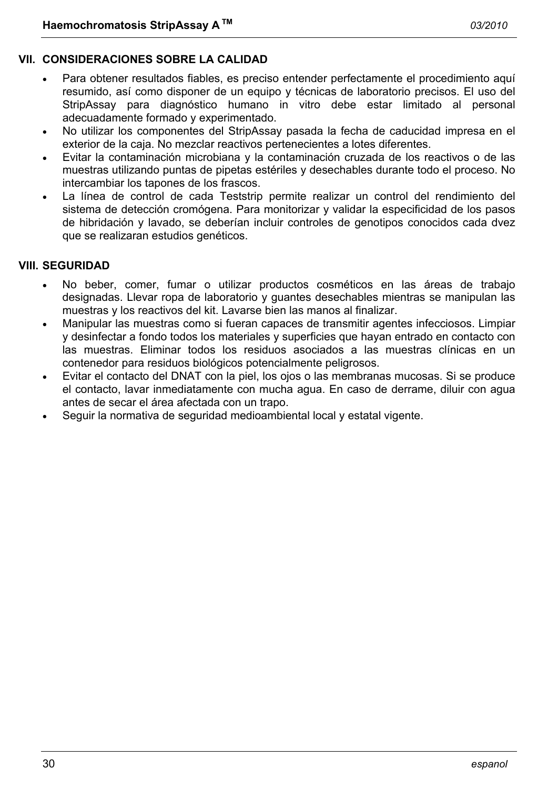# **VII. CONSIDERACIONES SOBRE LA CALIDAD**

- Para obtener resultados fiables, es preciso entender perfectamente el procedimiento aquí resumido, así como disponer de un equipo y técnicas de laboratorio precisos. El uso del StripAssay para diagnóstico humano in vitro debe estar limitado al personal adecuadamente formado y experimentado.
- No utilizar los componentes del StripAssay pasada la fecha de caducidad impresa en el exterior de la caja. No mezclar reactivos pertenecientes a lotes diferentes.
- Evitar la contaminación microbiana y la contaminación cruzada de los reactivos o de las muestras utilizando puntas de pipetas estériles y desechables durante todo el proceso. No intercambiar los tapones de los frascos.
- La línea de control de cada Teststrip permite realizar un control del rendimiento del sistema de detección cromógena. Para monitorizar y validar la especificidad de los pasos de hibridación y lavado, se deberían incluir controles de genotipos conocidos cada dvez que se realizaran estudios genéticos.

# **VIII. SEGURIDAD**

- No beber, comer, fumar o utilizar productos cosméticos en las áreas de trabajo designadas. Llevar ropa de laboratorio y guantes desechables mientras se manipulan las muestras y los reactivos del kit. Lavarse bien las manos al finalizar.
- Manipular las muestras como si fueran capaces de transmitir agentes infecciosos. Limpiar y desinfectar a fondo todos los materiales y superficies que hayan entrado en contacto con las muestras. Eliminar todos los residuos asociados a las muestras clínicas en un contenedor para residuos biológicos potencialmente peligrosos.
- Evitar el contacto del DNAT con la piel, los ojos o las membranas mucosas. Si se produce el contacto, lavar inmediatamente con mucha agua. En caso de derrame, diluir con agua antes de secar el área afectada con un trapo.
- Seguir la normativa de seguridad medioambiental local y estatal vigente.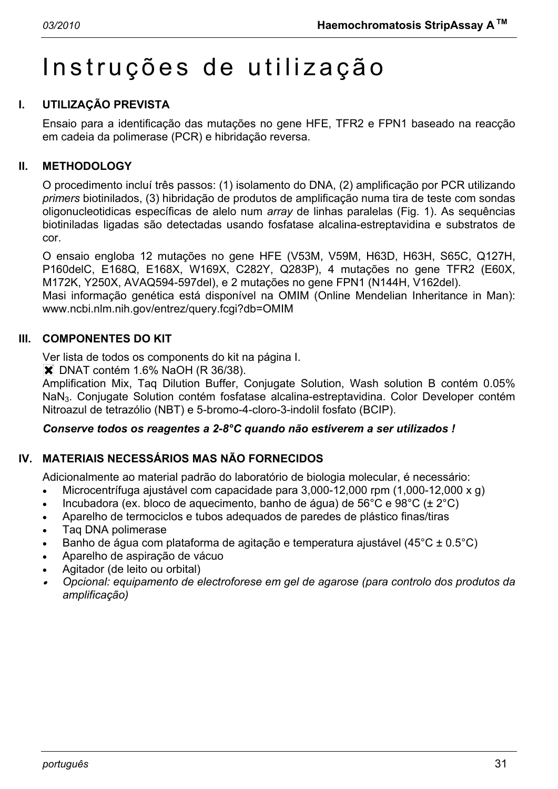# Instruções de utilização

# **I. UTILIZAÇÃO PREVISTA**

Ensaio para a identificação das mutações no gene HFE, TFR2 e FPN1 baseado na reacção em cadeia da polimerase (PCR) e hibridação reversa.

### **II. METHODOLOGY**

O procedimento incluí três passos: (1) isolamento do DNA, (2) amplificação por PCR utilizando *primers* biotinilados, (3) hibridação de produtos de amplificação numa tira de teste com sondas oligonucleotidicas específicas de alelo num *array* de linhas paralelas (Fig. 1). As sequências biotiniladas ligadas são detectadas usando fosfatase alcalina-estreptavidina e substratos de cor.

O ensaio engloba 12 mutações no gene HFE (V53M, V59M, H63D, H63H, S65C, Q127H, P160delC, E168Q, E168X, W169X, C282Y, Q283P), 4 mutações no gene TFR2 (E60X, M172K, Y250X, AVAQ594-597del), e 2 mutações no gene FPN1 (N144H, V162del).

Masi informação genética está disponível na OMIM (Online Mendelian Inheritance in Man): www.ncbi.nlm.nih.gov/entrez/query.fcgi?db=OMIM

#### **III. COMPONENTES DO KIT**

Ver lista de todos os components do kit na página I.

 $\blacktriangleright$  DNAT contém 1.6% NaOH (R 36/38).

Amplification Mix, Taq Dilution Buffer, Conjugate Solution, Wash solution B contém 0.05% NaN3. Conjugate Solution contém fosfatase alcalina-estreptavidina. Color Developer contém Nitroazul de tetrazólio (NBT) e 5-bromo-4-cloro-3-indolil fosfato (BCIP).

#### *Conserve todos os reagentes a 2-8°C quando não estiverem a ser utilizados !*

# **IV. MATERIAIS NECESSÁRIOS MAS NÃO FORNECIDOS**

Adicionalmente ao material padrão do laboratório de biologia molecular, é necessário:

- Microcentrífuga ajustável com capacidade para 3,000-12,000 rpm (1,000-12,000 x g)
- Incubadora (ex. bloco de aquecimento, banho de água) de  $56^{\circ}$ C e  $98^{\circ}$ C ( $\pm 2^{\circ}$ C)
- Aparelho de termociclos e tubos adequados de paredes de plástico finas/tiras
- Taq DNA polimerase
- Banho de água com plataforma de agitação e temperatura ajustável (45°C ± 0.5°C)
- Aparelho de aspiração de vácuo
- Agitador (de leito ou orbital)
- • *Opcional: equipamento de electroforese em gel de agarose (para controlo dos produtos da amplificação)*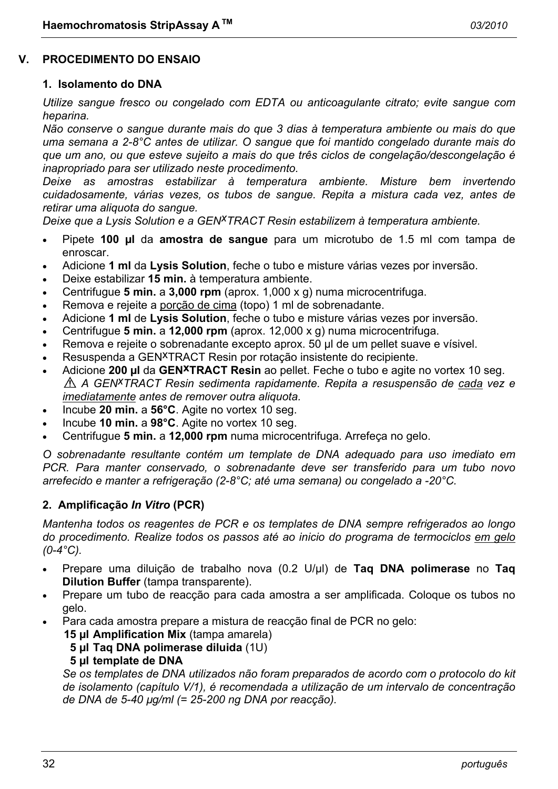#### **V. PROCEDIMENTO DO ENSAIO**

#### **1. Isolamento do DNA**

*Utilize sangue fresco ou congelado com EDTA ou anticoagulante citrato; evite sangue com heparina.* 

*Não conserve o sangue durante mais do que 3 dias à temperatura ambiente ou mais do que uma semana a 2-8°C antes de utilizar. O sangue que foi mantido congelado durante mais do que um ano, ou que esteve sujeito a mais do que três ciclos de congelação/descongelação é inapropriado para ser utilizado neste procedimento.* 

*Deixe as amostras estabilizar à temperatura ambiente. Misture bem invertendo cuidadosamente, várias vezes, os tubos de sangue. Repita a mistura cada vez, antes de retirar uma aliquota do sangue.* 

*Deixe que a Lysis Solution e a GENxTRACT Resin estabilizem à temperatura ambiente.*

- Pipete **100 µl** da **amostra de sangue** para um microtubo de 1.5 ml com tampa de enroscar.
- Adicione **1 ml** da **Lysis Solution**, feche o tubo e misture várias vezes por inversão.
- Deixe estabilizar **15 min.** à temperatura ambiente.
- Centrifugue **5 min.** a **3,000 rpm** (aprox. 1,000 x g) numa microcentrifuga.
- Remova e rejeite a porção de cima (topo) 1 ml de sobrenadante.
- Adicione **1 ml** de **Lysis Solution**, feche o tubo e misture várias vezes por inversão.
- Centrifugue **5 min.** a **12,000 rpm** (aprox. 12,000 x g) numa microcentrifuga.
- Remova e rejeite o sobrenadante excepto aprox. 50 µl de um pellet suave e vísivel.
- Resuspenda a GEN<sup>X</sup>TRACT Resin por rotação insistente do recipiente.
- Adicione **200 µl** da **GENxTRACT Resin** ao pellet. Feche o tubo e agite no vortex 10 seg. *A GENxTRACT Resin sedimenta rapidamente. Repita a resuspensão de cada vez e imediatamente antes de remover outra aliquota.*
- Incube **20 min.** a **56°C**. Agite no vortex 10 seg.
- Incube **10 min.** a **98°C**. Agite no vortex 10 seg.
- Centrifugue **5 min.** a **12,000 rpm** numa microcentrifuga. Arrefeça no gelo.

*O sobrenadante resultante contém um template de DNA adequado para uso imediato em PCR. Para manter conservado, o sobrenadante deve ser transferido para um tubo novo arrefecido e manter a refrigeração (2-8°C; até uma semana) ou congelado a -20°C.* 

#### **2. Amplificação** *In Vitro* **(PCR)**

*Mantenha todos os reagentes de PCR e os templates de DNA sempre refrigerados ao longo do procedimento. Realize todos os passos até ao inicio do programa de termociclos em gelo (0-4°C).* 

- Prepare uma diluição de trabalho nova (0.2 U/µl) de **Taq DNA polimerase** no **Taq Dilution Buffer** (tampa transparente).
- Prepare um tubo de reacção para cada amostra a ser amplificada. Coloque os tubos no gelo.
- Para cada amostra prepare a mistura de reacção final de PCR no gelo:
	- **15 µl Amplification Mix** (tampa amarela)
	- **5 µl Taq DNA polimerase diluida** (1U)

#### **5 µl template de DNA**

 *Se os templates de DNA utilizados não foram preparados de acordo com o protocolo do kit de isolamento (capítulo V/1), é recomendada a utilização de um intervalo de concentração de DNA de 5-40 µg/ml (= 25-200 ng DNA por reacção).*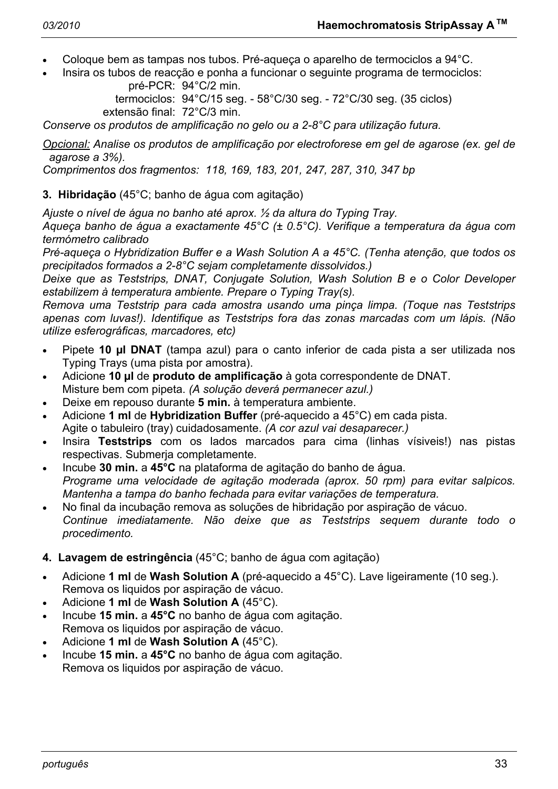- Coloque bem as tampas nos tubos. Pré-aqueça o aparelho de termociclos a 94°C.
- Insira os tubos de reacção e ponha a funcionar o seguinte programa de termociclos: pré-PCR: 94°C/2 min.

 termociclos: 94°C/15 seg. - 58°C/30 seg. - 72°C/30 seg. (35 ciclos) extensão final: 72°C/3 min.

*Conserve os produtos de amplificação no gelo ou a 2-8°C para utilização futura.* 

*Opcional: Analise os produtos de amplificação por electroforese em gel de agarose (ex. gel de agarose a 3%).* 

*Comprimentos dos fragmentos: 118, 169, 183, 201, 247, 287, 310, 347 bp* 

# **3. Hibridação** (45°C; banho de água com agitação)

*Ajuste o nível de água no banho até aprox. ½ da altura do Typing Tray.* 

*Aqueça banho de água a exactamente 45°C (± 0.5°C). Verifique a temperatura da água com termómetro calibrado* 

*Pré-aqueça o Hybridization Buffer e a Wash Solution A a 45°C. (Tenha atenção, que todos os precipitados formados a 2-8°C sejam completamente dissolvidos.)* 

*Deixe que as Teststrips, DNAT, Conjugate Solution, Wash Solution B e o Color Developer estabilizem à temperatura ambiente. Prepare o Typing Tray(s).* 

*Remova uma Teststrip para cada amostra usando uma pinça limpa. (Toque nas Teststrips apenas com luvas!). Identifique as Teststrips fora das zonas marcadas com um lápis. (Não utilize esferográficas, marcadores, etc)* 

- Pipete **10 µl DNAT** (tampa azul) para o canto inferior de cada pista a ser utilizada nos Typing Trays (uma pista por amostra).
- Adicione **10 µl** de **produto de amplificação** à gota correspondente de DNAT. Misture bem com pipeta. *(A solução deverá permanecer azul.)*
- Deixe em repouso durante **5 min.** à temperatura ambiente.
- Adicione **1 ml** de **Hybridization Buffer** (pré-aquecido a 45°C) em cada pista. Agite o tabuleiro (tray) cuidadosamente. *(A cor azul vai desaparecer.)*
- Insira **Teststrips** com os lados marcados para cima (linhas vísiveis!) nas pistas respectivas. Submerja completamente.
- Incube **30 min.** a **45°C** na plataforma de agitação do banho de água.  *Programe uma velocidade de agitação moderada (aprox. 50 rpm) para evitar salpicos. Mantenha a tampa do banho fechada para evitar variações de temperatura.*
- No final da incubação remova as soluções de hibridação por aspiração de vácuo.  *Continue imediatamente. Não deixe que as Teststrips sequem durante todo o procedimento.*

# **4. Lavagem de estringência** (45°C; banho de água com agitação)

- Adicione **1 ml** de **Wash Solution A** (pré-aquecido a 45°C). Lave ligeiramente (10 seg.). Remova os liquidos por aspiração de vácuo.
- Adicione **1 ml** de **Wash Solution A** (45°C).
- Incube **15 min.** a **45°C** no banho de água com agitação. Remova os liquidos por aspiração de vácuo.
- Adicione **1 ml** de **Wash Solution A** (45°C).
- Incube **15 min.** a **45°C** no banho de água com agitação. Remova os liquidos por aspiração de vácuo.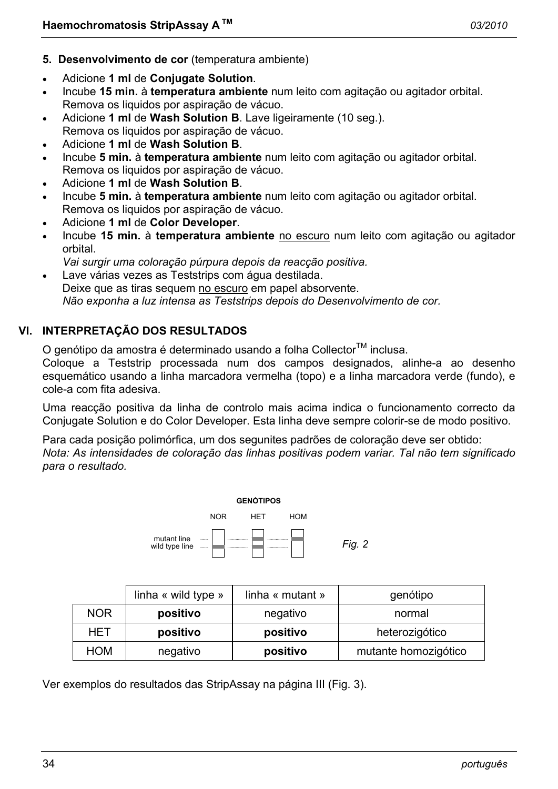- **5. Desenvolvimento de cor** (temperatura ambiente)
- Adicione **1 ml** de **Conjugate Solution**.
- Incube **15 min.** à **temperatura ambiente** num leito com agitação ou agitador orbital. Remova os liquidos por aspiração de vácuo.
- Adicione **1 ml** de **Wash Solution B**. Lave ligeiramente (10 seg.). Remova os liquidos por aspiração de vácuo.
- Adicione **1 ml** de **Wash Solution B**.
- Incube **5 min.** à **temperatura ambiente** num leito com agitação ou agitador orbital. Remova os liquidos por aspiração de vácuo.
- Adicione **1 ml** de **Wash Solution B**.
- Incube **5 min.** à **temperatura ambiente** num leito com agitação ou agitador orbital. Remova os liquidos por aspiração de vácuo.
- Adicione **1 ml** de **Color Developer**.
- Incube **15 min.** à **temperatura ambiente** no escuro num leito com agitação ou agitador orbital.
- *Vai surgir uma coloração púrpura depois da reacção positiva.*
- Lave várias vezes as Teststrips com água destilada. Deixe que as tiras sequem no escuro em papel absorvente.  *Não exponha a luz intensa as Teststrips depois do Desenvolvimento de cor.*

# **VI. INTERPRETAÇÃO DOS RESULTADOS**

O genótipo da amostra é determinado usando a folha Collector<sup>TM</sup> inclusa.

Coloque a Teststrip processada num dos campos designados, alinhe-a ao desenho esquemático usando a linha marcadora vermelha (topo) e a linha marcadora verde (fundo), e cole-a com fita adesiva.

Uma reacção positiva da linha de controlo mais acima indica o funcionamento correcto da Conjugate Solution e do Color Developer. Esta linha deve sempre colorir-se de modo positivo.

Para cada posição polimórfica, um dos segunites padrões de coloração deve ser obtido: *Nota: As intensidades de coloração das linhas positivas podem variar. Tal não tem significado para o resultado.* 



|            | linha $\kappa$ wild type $\kappa$ | linha « mutant » | genótipo             |
|------------|-----------------------------------|------------------|----------------------|
| <b>NOR</b> | positivo                          | negativo         | normal               |
| HET        | positivo                          | positivo         | heterozigótico       |
| <b>HOM</b> | negativo                          | positivo         | mutante homozigótico |

Ver exemplos do resultados das StripAssay na página III (Fig. 3).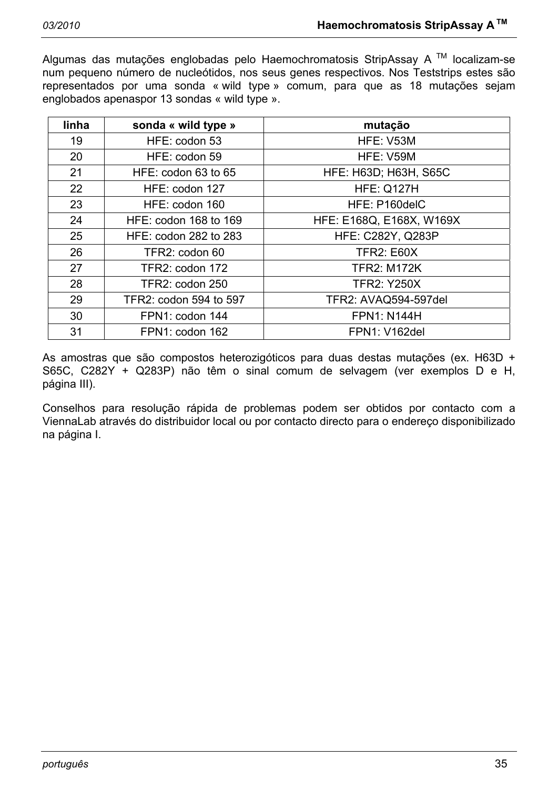Algumas das mutações englobadas pelo Haemochromatosis StripAssay A TM localizam-se num pequeno número de nucleótidos, nos seus genes respectivos. Nos Teststrips estes são representados por uma sonda « wild type » comum, para que as 18 mutações sejam englobados apenaspor 13 sondas « wild type ».

| linha | sonda « wild type »    | mutação                      |  |
|-------|------------------------|------------------------------|--|
| 19    | HFE: codon 53          | HFE: V53M                    |  |
| 20    | HFE: codon 59          | HFE: V59M                    |  |
| 21    | HFE: codon 63 to 65    | <b>HFE: H63D; H63H, S65C</b> |  |
| 22    | HFE: codon 127         | <b>HFE: Q127H</b>            |  |
| 23    | HFE: codon 160         | HFE: P160delC                |  |
| 24    | HFE: codon 168 to 169  | HFE: E168Q, E168X, W169X     |  |
| 25    | HFE: codon 282 to 283  | <b>HFE: C282Y, Q283P</b>     |  |
| 26    | TFR2: codon 60         | <b>TFR2: E60X</b>            |  |
| 27    | TFR2: codon 172        | <b>TFR2: M172K</b>           |  |
| 28    | TFR2: codon 250        | <b>TFR2: Y250X</b>           |  |
| 29    | TFR2: codon 594 to 597 | TFR2: AVAQ594-597del         |  |
| 30    | FPN1: codon 144        | <b>FPN1: N144H</b>           |  |
| 31    | FPN1: codon 162        | <b>FPN1: V162del</b>         |  |

As amostras que são compostos heterozigóticos para duas destas mutações (ex. H63D + S65C, C282Y + Q283P) não têm o sinal comum de selvagem (ver exemplos D e H, página III).

Conselhos para resolução rápida de problemas podem ser obtidos por contacto com a ViennaLab através do distribuidor local ou por contacto directo para o endereço disponibilizado na página I.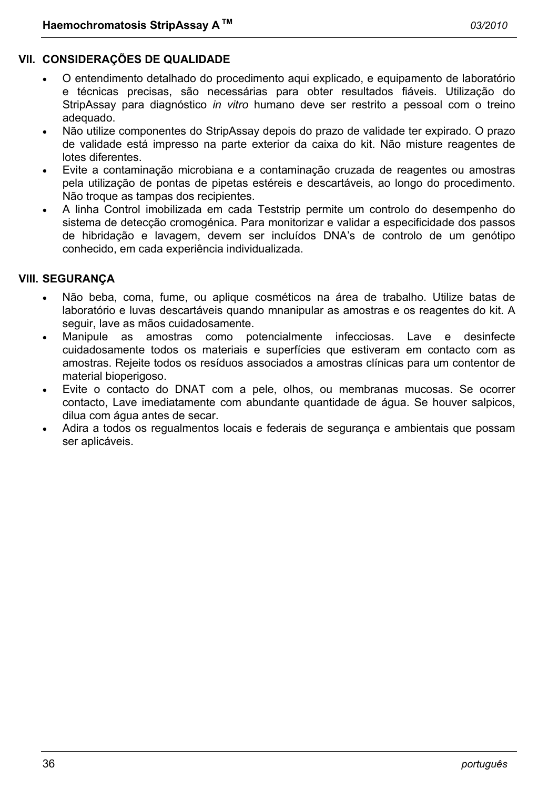# **VII. CONSIDERAÇÕES DE QUALIDADE**

- O entendimento detalhado do procedimento aqui explicado, e equipamento de laboratório e técnicas precisas, são necessárias para obter resultados fiáveis. Utilização do StripAssay para diagnóstico *in vitro* humano deve ser restrito a pessoal com o treino adequado.
- Não utilize componentes do StripAssay depois do prazo de validade ter expirado. O prazo de validade está impresso na parte exterior da caixa do kit. Não misture reagentes de lotes diferentes.
- Evite a contaminação microbiana e a contaminação cruzada de reagentes ou amostras pela utilização de pontas de pipetas estéreis e descartáveis, ao longo do procedimento. Não troque as tampas dos recipientes.
- A linha Control imobilizada em cada Teststrip permite um controlo do desempenho do sistema de detecção cromogénica. Para monitorizar e validar a especificidade dos passos de hibridação e lavagem, devem ser incluídos DNA's de controlo de um genótipo conhecido, em cada experiência individualizada.

#### **VIII. SEGURANÇA**

- Não beba, coma, fume, ou aplique cosméticos na área de trabalho. Utilize batas de laboratório e luvas descartáveis quando mnanipular as amostras e os reagentes do kit. A seguir, lave as mãos cuidadosamente.
- Manipule as amostras como potencialmente infecciosas. Lave e desinfecte cuidadosamente todos os materiais e superfícies que estiveram em contacto com as amostras. Rejeite todos os resíduos associados a amostras clínicas para um contentor de material bioperigoso.
- Evite o contacto do DNAT com a pele, olhos, ou membranas mucosas. Se ocorrer contacto, Lave imediatamente com abundante quantidade de água. Se houver salpicos, dilua com água antes de secar.
- Adira a todos os regualmentos locais e federais de segurança e ambientais que possam ser aplicáveis.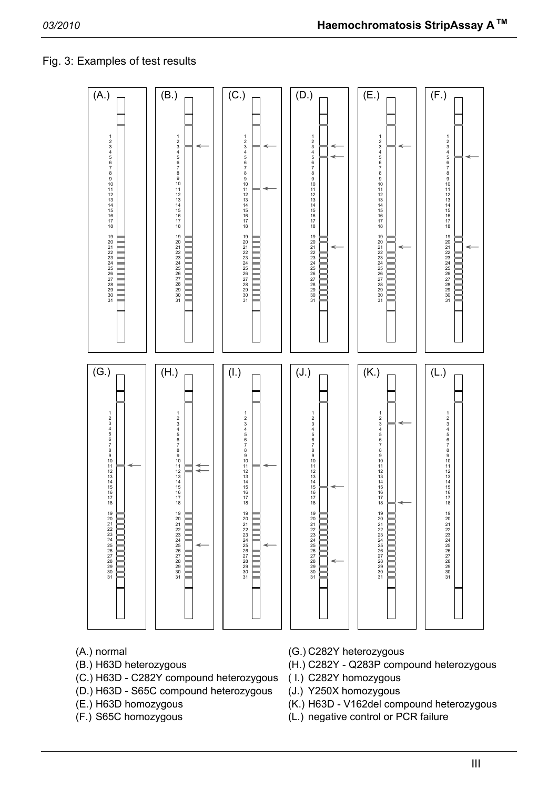# Fig. 3: Examples of test results



- 
- (C.) H63D C282Y compound heterozygous ( I.) C282Y homozygous
- (D.) H63D S65C compound heterozygous (J.) Y250X homozygous
- 
- 
- (A.) normal (G.) C282Y heterozygous
- (B.) H63D heterozygous (H.) C282Y Q283P compound heterozygous
	-
	-
- (E.) H63D homozygous (K.) H63D V162del compound heterozygous
- (F.) S65C homozygous (L.) negative control or PCR failure